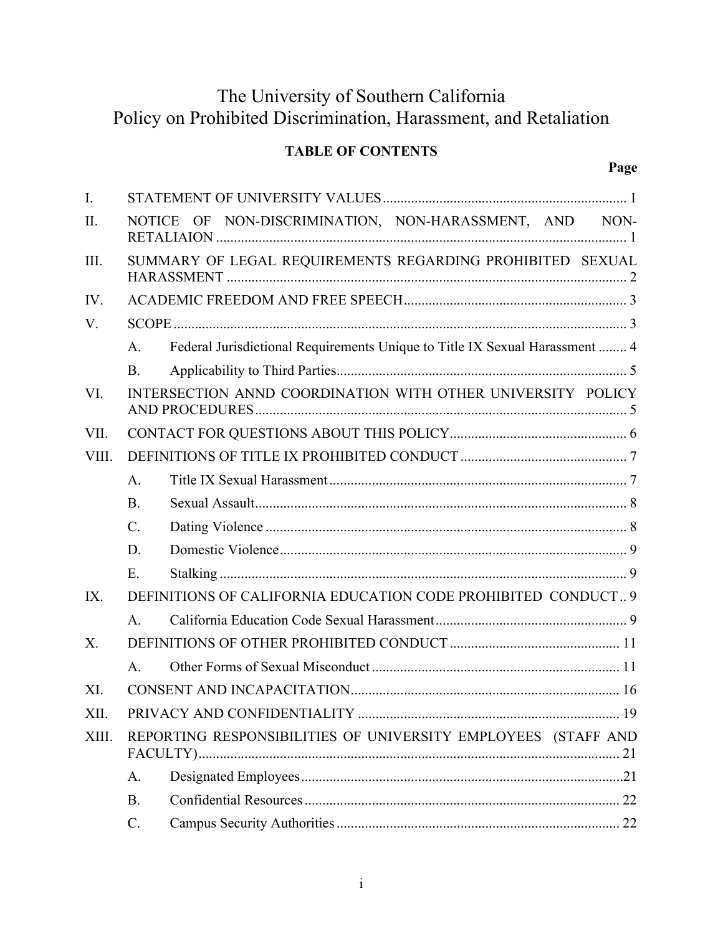# The University of Southern California Policy on Prohibited Discrimination, Harassment, and Retaliation

# **TABLE OF CONTENTS**

| $\mathbf{I}$ . |                                                               |                                                                             |  |  |
|----------------|---------------------------------------------------------------|-----------------------------------------------------------------------------|--|--|
| II.            |                                                               | NOTICE OF NON-DISCRIMINATION, NON-HARASSMENT, AND NON-                      |  |  |
| III.           | SUMMARY OF LEGAL REQUIREMENTS REGARDING PROHIBITED SEXUAL     |                                                                             |  |  |
| IV.            |                                                               |                                                                             |  |  |
| V.             |                                                               |                                                                             |  |  |
|                | A <sub>1</sub>                                                | Federal Jurisdictional Requirements Unique to Title IX Sexual Harassment  4 |  |  |
|                | <b>B.</b>                                                     |                                                                             |  |  |
| VI.            | INTERSECTION ANND COORDINATION WITH OTHER UNIVERSITY POLICY   |                                                                             |  |  |
| VII.           |                                                               |                                                                             |  |  |
| VIII.          |                                                               |                                                                             |  |  |
|                | A <sub>1</sub>                                                |                                                                             |  |  |
|                | <b>B.</b>                                                     |                                                                             |  |  |
|                | $C_{\cdot}$                                                   |                                                                             |  |  |
|                | D.                                                            |                                                                             |  |  |
|                | E.                                                            |                                                                             |  |  |
| IX.            | DEFINITIONS OF CALIFORNIA EDUCATION CODE PROHIBITED CONDUCT 9 |                                                                             |  |  |
|                | A <sub>1</sub>                                                |                                                                             |  |  |
| $X_{\cdot}$    |                                                               |                                                                             |  |  |
|                | A <sub>1</sub>                                                |                                                                             |  |  |
| XI.            |                                                               |                                                                             |  |  |
| XII.           |                                                               |                                                                             |  |  |
| XIII.          | REPORTING RESPONSIBILITIES OF UNIVERSITY EMPLOYEES (STAFF AND |                                                                             |  |  |
|                | A.                                                            |                                                                             |  |  |
|                | <b>B.</b>                                                     |                                                                             |  |  |
|                | C.                                                            |                                                                             |  |  |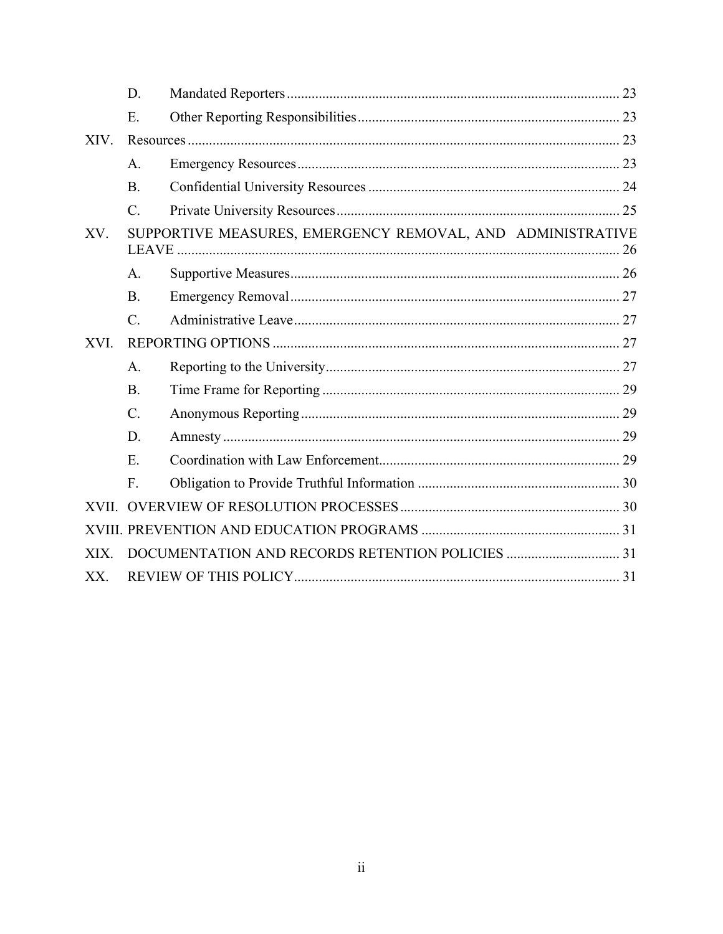|       | D.              |                                                            |  |
|-------|-----------------|------------------------------------------------------------|--|
|       | E.              |                                                            |  |
| XIV.  |                 |                                                            |  |
|       | A.              |                                                            |  |
|       | <b>B.</b>       |                                                            |  |
|       | $C_{\cdot}$     |                                                            |  |
| XV.   |                 | SUPPORTIVE MEASURES, EMERGENCY REMOVAL, AND ADMINISTRATIVE |  |
|       | A.              |                                                            |  |
|       | <b>B.</b>       |                                                            |  |
|       | $\mathcal{C}$ . |                                                            |  |
| XVI.  |                 |                                                            |  |
|       | A.              |                                                            |  |
|       | <b>B.</b>       |                                                            |  |
|       | $\mathcal{C}$ . |                                                            |  |
|       | D.              |                                                            |  |
|       | E.              |                                                            |  |
|       | F.              |                                                            |  |
| XVII. |                 |                                                            |  |
|       |                 |                                                            |  |
| XIX.  |                 |                                                            |  |
| XX.   |                 |                                                            |  |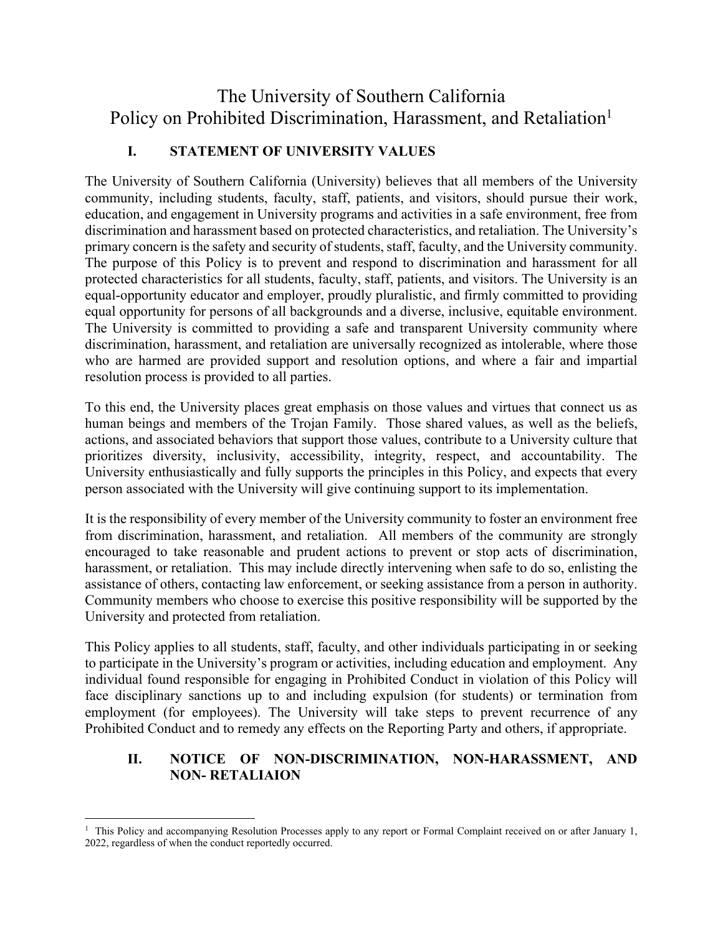# The University of Southern California Policy on Prohibited Discrimination, Harassment, and Retaliation<sup>1</sup>

# **I. STATEMENT OF UNIVERSITY VALUES**

The University of Southern California (University) believes that all members of the University community, including students, faculty, staff, patients, and visitors, should pursue their work, education, and engagement in University programs and activities in a safe environment, free from discrimination and harassment based on protected characteristics, and retaliation. The University's primary concern is the safety and security of students, staff, faculty, and the University community. The purpose of this Policy is to prevent and respond to discrimination and harassment for all protected characteristics for all students, faculty, staff, patients, and visitors. The University is an equal-opportunity educator and employer, proudly pluralistic, and firmly committed to providing equal opportunity for persons of all backgrounds and a diverse, inclusive, equitable environment. The University is committed to providing a safe and transparent University community where discrimination, harassment, and retaliation are universally recognized as intolerable, where those who are harmed are provided support and resolution options, and where a fair and impartial resolution process is provided to all parties.

To this end, the University places great emphasis on those values and virtues that connect us as human beings and members of the Trojan Family. Those shared values, as well as the beliefs, actions, and associated behaviors that support those values, contribute to a University culture that prioritizes diversity, inclusivity, accessibility, integrity, respect, and accountability. The University enthusiastically and fully supports the principles in this Policy, and expects that every person associated with the University will give continuing support to its implementation.

It is the responsibility of every member of the University community to foster an environment free from discrimination, harassment, and retaliation. All members of the community are strongly encouraged to take reasonable and prudent actions to prevent or stop acts of discrimination, harassment, or retaliation. This may include directly intervening when safe to do so, enlisting the assistance of others, contacting law enforcement, or seeking assistance from a person in authority. Community members who choose to exercise this positive responsibility will be supported by the University and protected from retaliation.

This Policy applies to all students, staff, faculty, and other individuals participating in or seeking to participate in the University's program or activities, including education and employment. Any individual found responsible for engaging in Prohibited Conduct in violation of this Policy will face disciplinary sanctions up to and including expulsion (for students) or termination from employment (for employees). The University will take steps to prevent recurrence of any Prohibited Conduct and to remedy any effects on the Reporting Party and others, if appropriate.

#### **II. NOTICE OF NON-DISCRIMINATION, NON-HARASSMENT, AND NON- RETALIAION**

<sup>&</sup>lt;sup>1</sup> This Policy and accompanying Resolution Processes apply to any report or Formal Complaint received on or after January 1, 2022, regardless of when the conduct reportedly occurred.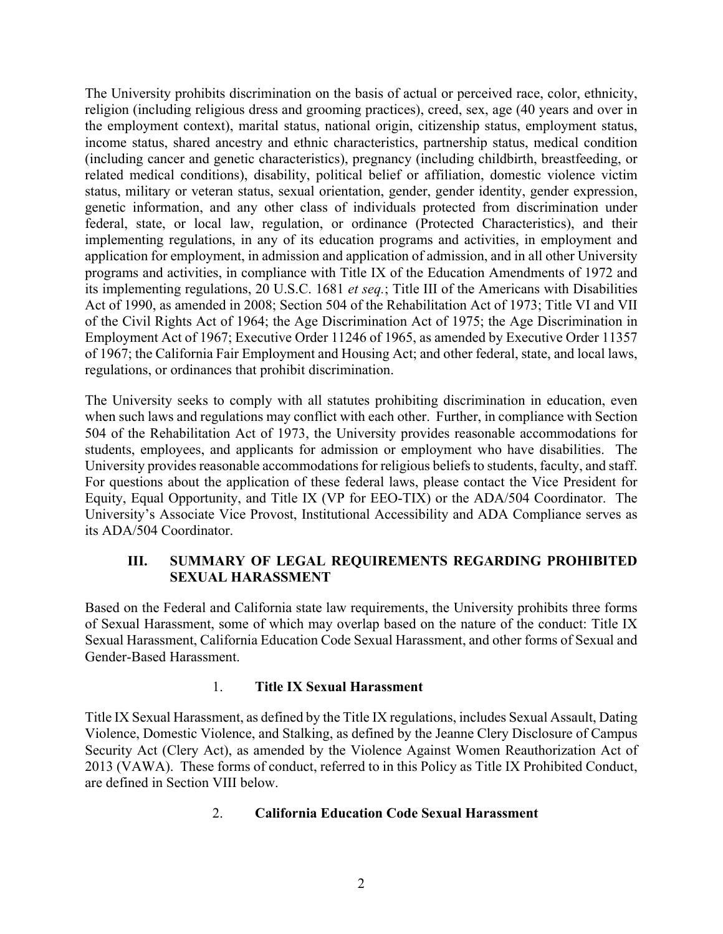The University prohibits discrimination on the basis of actual or perceived race, color, ethnicity, religion (including religious dress and grooming practices), creed, sex, age (40 years and over in the employment context), marital status, national origin, citizenship status, employment status, income status, shared ancestry and ethnic characteristics, partnership status, medical condition (including cancer and genetic characteristics), pregnancy (including childbirth, breastfeeding, or related medical conditions), disability, political belief or affiliation, domestic violence victim status, military or veteran status, sexual orientation, gender, gender identity, gender expression, genetic information, and any other class of individuals protected from discrimination under federal, state, or local law, regulation, or ordinance (Protected Characteristics), and their implementing regulations, in any of its education programs and activities, in employment and application for employment, in admission and application of admission, and in all other University programs and activities, in compliance with Title IX of the Education Amendments of 1972 and its implementing regulations, 20 U.S.C. 1681 *et seq.*; Title III of the Americans with Disabilities Act of 1990, as amended in 2008; Section 504 of the Rehabilitation Act of 1973; Title VI and VII of the Civil Rights Act of 1964; the Age Discrimination Act of 1975; the Age Discrimination in Employment Act of 1967; Executive Order 11246 of 1965, as amended by Executive Order 11357 of 1967; the California Fair Employment and Housing Act; and other federal, state, and local laws, regulations, or ordinances that prohibit discrimination.

The University seeks to comply with all statutes prohibiting discrimination in education, even when such laws and regulations may conflict with each other. Further, in compliance with Section 504 of the Rehabilitation Act of 1973, the University provides reasonable accommodations for students, employees, and applicants for admission or employment who have disabilities. The University provides reasonable accommodations for religious beliefs to students, faculty, and staff. For questions about the application of these federal laws, please contact the Vice President for Equity, Equal Opportunity, and Title IX (VP for EEO-TIX) or the ADA/504 Coordinator. The University's Associate Vice Provost, Institutional Accessibility and ADA Compliance serves as its ADA/504 Coordinator.

#### **III. SUMMARY OF LEGAL REQUIREMENTS REGARDING PROHIBITED SEXUAL HARASSMENT**

Based on the Federal and California state law requirements, the University prohibits three forms of Sexual Harassment, some of which may overlap based on the nature of the conduct: Title IX Sexual Harassment, California Education Code Sexual Harassment, and other forms of Sexual and Gender-Based Harassment.

#### 1. **Title IX Sexual Harassment**

Title IX Sexual Harassment, as defined by the Title IX regulations, includes Sexual Assault, Dating Violence, Domestic Violence, and Stalking, as defined by the Jeanne Clery Disclosure of Campus Security Act (Clery Act), as amended by the Violence Against Women Reauthorization Act of 2013 (VAWA). These forms of conduct, referred to in this Policy as Title IX Prohibited Conduct, are defined in Section VIII below.

#### 2. **California Education Code Sexual Harassment**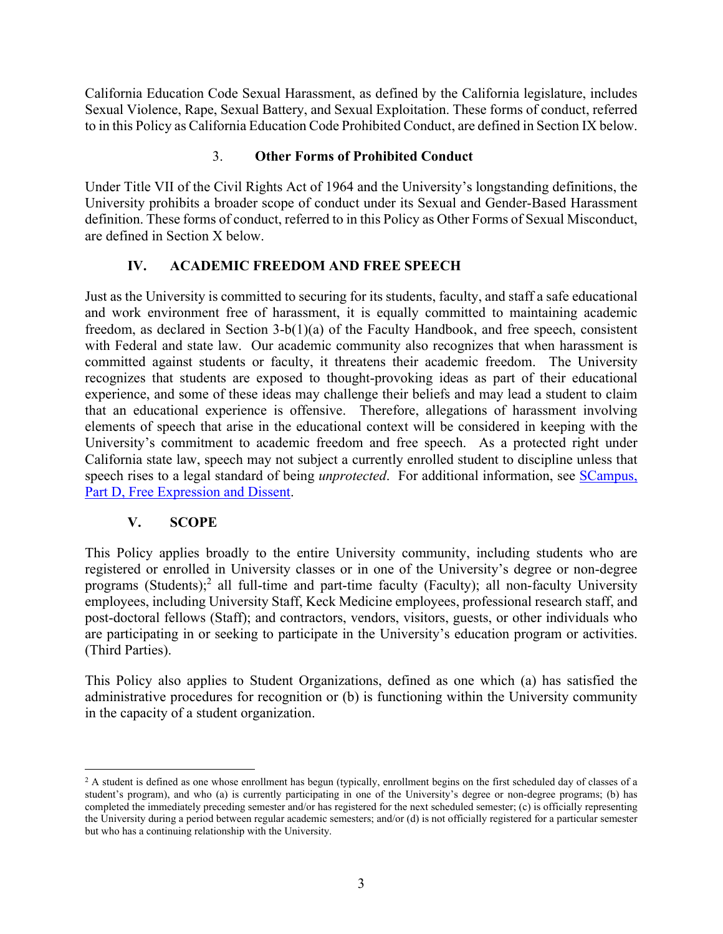California Education Code Sexual Harassment, as defined by the California legislature, includes Sexual Violence, Rape, Sexual Battery, and Sexual Exploitation. These forms of conduct, referred to in this Policy as California Education Code Prohibited Conduct, are defined in Section IX below.

#### 3. **Other Forms of Prohibited Conduct**

Under Title VII of the Civil Rights Act of 1964 and the University's longstanding definitions, the University prohibits a broader scope of conduct under its Sexual and Gender-Based Harassment definition. These forms of conduct, referred to in this Policy as Other Forms of Sexual Misconduct, are defined in Section X below.

## **IV. ACADEMIC FREEDOM AND FREE SPEECH**

Just as the University is committed to securing for its students, faculty, and staff a safe educational and work environment free of harassment, it is equally committed to maintaining academic freedom, as declared in Section 3-b(1)(a) of the Faculty Handbook, and free speech, consistent with Federal and state law. Our academic community also recognizes that when harassment is committed against students or faculty, it threatens their academic freedom. The University recognizes that students are exposed to thought-provoking ideas as part of their educational experience, and some of these ideas may challenge their beliefs and may lead a student to claim that an educational experience is offensive. Therefore, allegations of harassment involving elements of speech that arise in the educational context will be considered in keeping with the University's commitment to academic freedom and free speech. As a protected right under California state law, speech may not subject a currently enrolled student to discipline unless that speech rises to a legal standard of being *unprotected*. For additional information, see SCampus, Part D, Free Expression and Dissent.

#### **V. SCOPE**

This Policy applies broadly to the entire University community, including students who are registered or enrolled in University classes or in one of the University's degree or non-degree programs (Students);<sup>2</sup> all full-time and part-time faculty (Faculty); all non-faculty University employees, including University Staff, Keck Medicine employees, professional research staff, and post-doctoral fellows (Staff); and contractors, vendors, visitors, guests, or other individuals who are participating in or seeking to participate in the University's education program or activities. (Third Parties).

This Policy also applies to Student Organizations, defined as one which (a) has satisfied the administrative procedures for recognition or (b) is functioning within the University community in the capacity of a student organization.

<sup>&</sup>lt;sup>2</sup> A student is defined as one whose enrollment has begun (typically, enrollment begins on the first scheduled day of classes of a student's program), and who (a) is currently participating in one of the University's degree or non-degree programs; (b) has completed the immediately preceding semester and/or has registered for the next scheduled semester; (c) is officially representing the University during a period between regular academic semesters; and/or (d) is not officially registered for a particular semester but who has a continuing relationship with the University.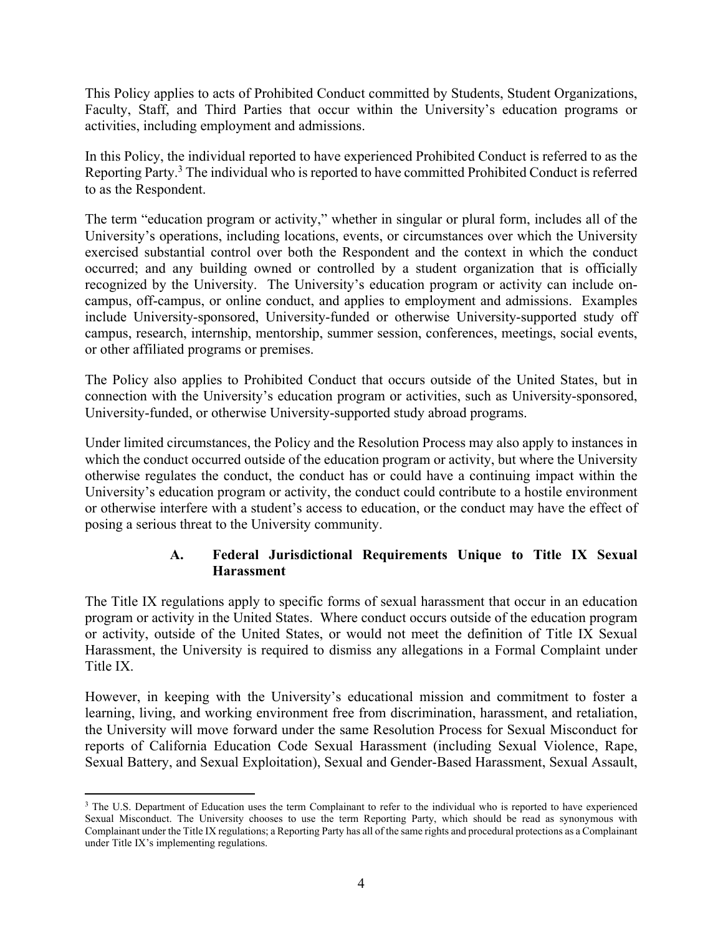This Policy applies to acts of Prohibited Conduct committed by Students, Student Organizations, Faculty, Staff, and Third Parties that occur within the University's education programs or activities, including employment and admissions.

In this Policy, the individual reported to have experienced Prohibited Conduct is referred to as the Reporting Party.<sup>3</sup> The individual who is reported to have committed Prohibited Conduct is referred to as the Respondent.

The term "education program or activity," whether in singular or plural form, includes all of the University's operations, including locations, events, or circumstances over which the University exercised substantial control over both the Respondent and the context in which the conduct occurred; and any building owned or controlled by a student organization that is officially recognized by the University. The University's education program or activity can include oncampus, off-campus, or online conduct, and applies to employment and admissions. Examples include University-sponsored, University-funded or otherwise University-supported study off campus, research, internship, mentorship, summer session, conferences, meetings, social events, or other affiliated programs or premises.

The Policy also applies to Prohibited Conduct that occurs outside of the United States, but in connection with the University's education program or activities, such as University-sponsored, University-funded, or otherwise University-supported study abroad programs.

Under limited circumstances, the Policy and the Resolution Process may also apply to instances in which the conduct occurred outside of the education program or activity, but where the University otherwise regulates the conduct, the conduct has or could have a continuing impact within the University's education program or activity, the conduct could contribute to a hostile environment or otherwise interfere with a student's access to education, or the conduct may have the effect of posing a serious threat to the University community.

#### **A. Federal Jurisdictional Requirements Unique to Title IX Sexual Harassment**

The Title IX regulations apply to specific forms of sexual harassment that occur in an education program or activity in the United States. Where conduct occurs outside of the education program or activity, outside of the United States, or would not meet the definition of Title IX Sexual Harassment, the University is required to dismiss any allegations in a Formal Complaint under Title IX.

However, in keeping with the University's educational mission and commitment to foster a learning, living, and working environment free from discrimination, harassment, and retaliation, the University will move forward under the same Resolution Process for Sexual Misconduct for reports of California Education Code Sexual Harassment (including Sexual Violence, Rape, Sexual Battery, and Sexual Exploitation), Sexual and Gender-Based Harassment, Sexual Assault,

<sup>&</sup>lt;sup>3</sup> The U.S. Department of Education uses the term Complainant to refer to the individual who is reported to have experienced Sexual Misconduct. The University chooses to use the term Reporting Party, which should be read as synonymous with Complainant under the Title IX regulations; a Reporting Party has all of the same rights and procedural protections as a Complainant under Title IX's implementing regulations.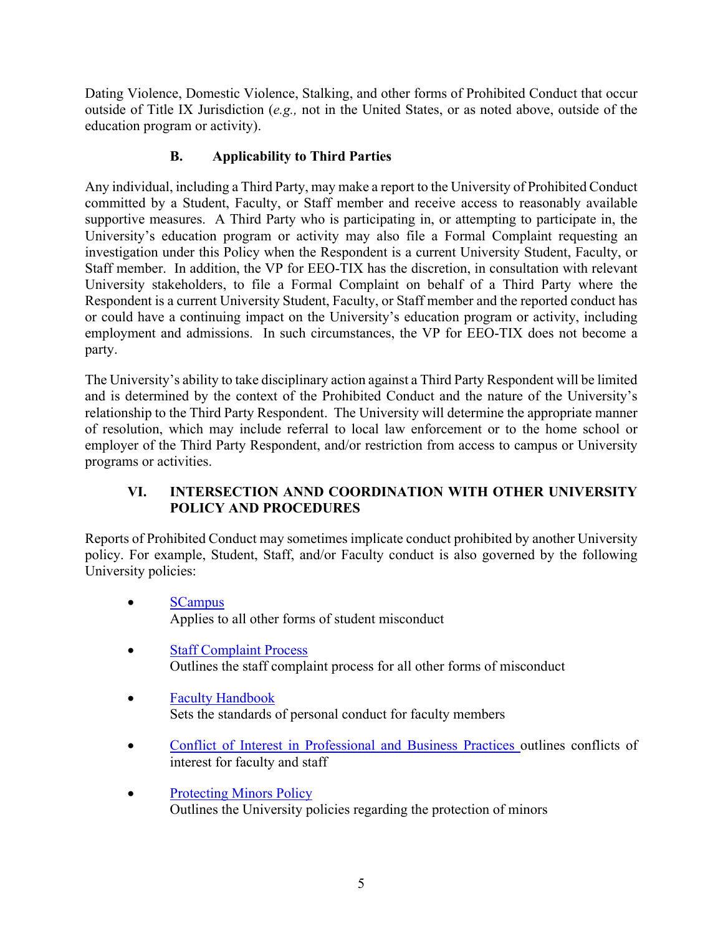Dating Violence, Domestic Violence, Stalking, and other forms of Prohibited Conduct that occur outside of Title IX Jurisdiction (*e.g.,* not in the United States, or as noted above, outside of the education program or activity).

## **B. Applicability to Third Parties**

Any individual, including a Third Party, may make a report to the University of Prohibited Conduct committed by a Student, Faculty, or Staff member and receive access to reasonably available supportive measures. A Third Party who is participating in, or attempting to participate in, the University's education program or activity may also file a Formal Complaint requesting an investigation under this Policy when the Respondent is a current University Student, Faculty, or Staff member. In addition, the VP for EEO-TIX has the discretion, in consultation with relevant University stakeholders, to file a Formal Complaint on behalf of a Third Party where the Respondent is a current University Student, Faculty, or Staff member and the reported conduct has or could have a continuing impact on the University's education program or activity, including employment and admissions. In such circumstances, the VP for EEO-TIX does not become a party.

The University's ability to take disciplinary action against a Third Party Respondent will be limited and is determined by the context of the Prohibited Conduct and the nature of the University's relationship to the Third Party Respondent. The University will determine the appropriate manner of resolution, which may include referral to local law enforcement or to the home school or employer of the Third Party Respondent, and/or restriction from access to campus or University programs or activities.

## **VI. INTERSECTION ANND COORDINATION WITH OTHER UNIVERSITY POLICY AND PROCEDURES**

Reports of Prohibited Conduct may sometimes implicate conduct prohibited by another University policy. For example, Student, Staff, and/or Faculty conduct is also governed by the following University policies:

- SCampus Applies to all other forms of student misconduct
- Staff Complaint Process Outlines the staff complaint process for all other forms of misconduct
- Faculty Handbook Sets the standards of personal conduct for faculty members
- Conflict of Interest in Professional and Business Practices outlines conflicts of interest for faculty and staff
- Protecting Minors Policy Outlines the University policies regarding the protection of minors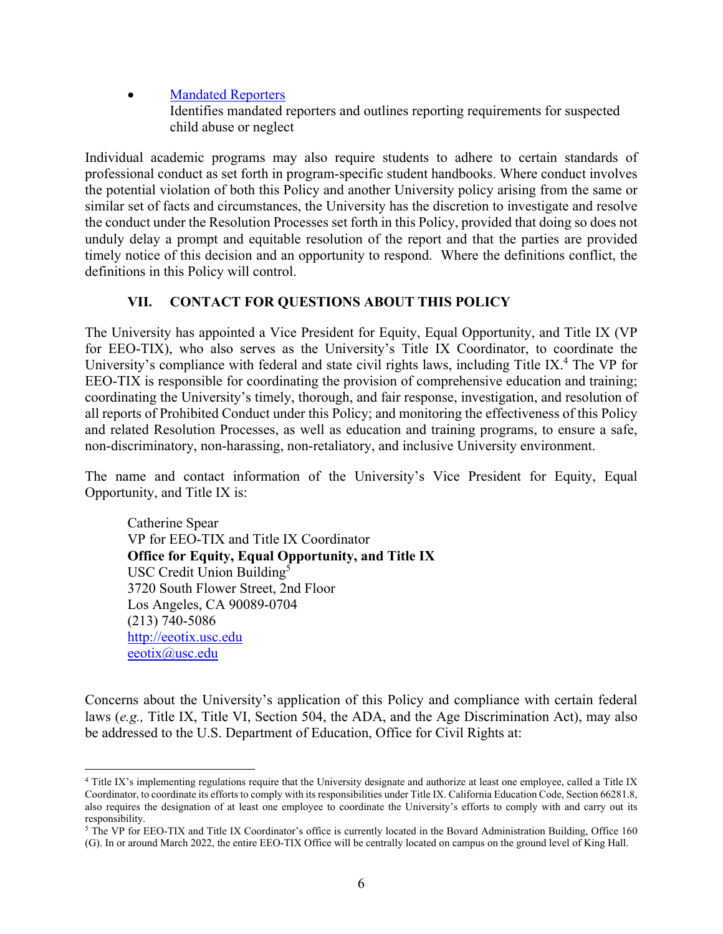Mandated Reporters Identifies mandated reporters and outlines reporting requirements for suspected child abuse or neglect

Individual academic programs may also require students to adhere to certain standards of professional conduct as set forth in program-specific student handbooks. Where conduct involves the potential violation of both this Policy and another University policy arising from the same or similar set of facts and circumstances, the University has the discretion to investigate and resolve the conduct under the Resolution Processes set forth in this Policy, provided that doing so does not unduly delay a prompt and equitable resolution of the report and that the parties are provided timely notice of this decision and an opportunity to respond. Where the definitions conflict, the definitions in this Policy will control.

#### **VII. CONTACT FOR QUESTIONS ABOUT THIS POLICY**

The University has appointed a Vice President for Equity, Equal Opportunity, and Title IX (VP for EEO-TIX), who also serves as the University's Title IX Coordinator, to coordinate the University's compliance with federal and state civil rights laws, including Title IX.<sup>4</sup> The VP for EEO-TIX is responsible for coordinating the provision of comprehensive education and training; coordinating the University's timely, thorough, and fair response, investigation, and resolution of all reports of Prohibited Conduct under this Policy; and monitoring the effectiveness of this Policy and related Resolution Processes, as well as education and training programs, to ensure a safe, non-discriminatory, non-harassing, non-retaliatory, and inclusive University environment.

The name and contact information of the University's Vice President for Equity, Equal Opportunity, and Title IX is:

Catherine Spear VP for EEO-TIX and Title IX Coordinator **Office for Equity, Equal Opportunity, and Title IX**  USC Credit Union Building<sup>5</sup> 3720 South Flower Street, 2nd Floor Los Angeles, CA 90089-0704 (213) 740-5086 http://eeotix.usc.edu eeotix@usc.edu

Concerns about the University's application of this Policy and compliance with certain federal laws (*e.g.,* Title IX, Title VI, Section 504, the ADA, and the Age Discrimination Act), may also be addressed to the U.S. Department of Education, Office for Civil Rights at:

<sup>4</sup> Title IX's implementing regulations require that the University designate and authorize at least one employee, called a Title IX Coordinator, to coordinate its efforts to comply with its responsibilities under Title IX. California Education Code, Section 66281.8, also requires the designation of at least one employee to coordinate the University's efforts to comply with and carry out its responsibility.

<sup>&</sup>lt;sup>5</sup> The VP for EEO-TIX and Title IX Coordinator's office is currently located in the Bovard Administration Building, Office 160 (G). In or around March 2022, the entire EEO-TIX Office will be centrally located on campus on the ground level of King Hall.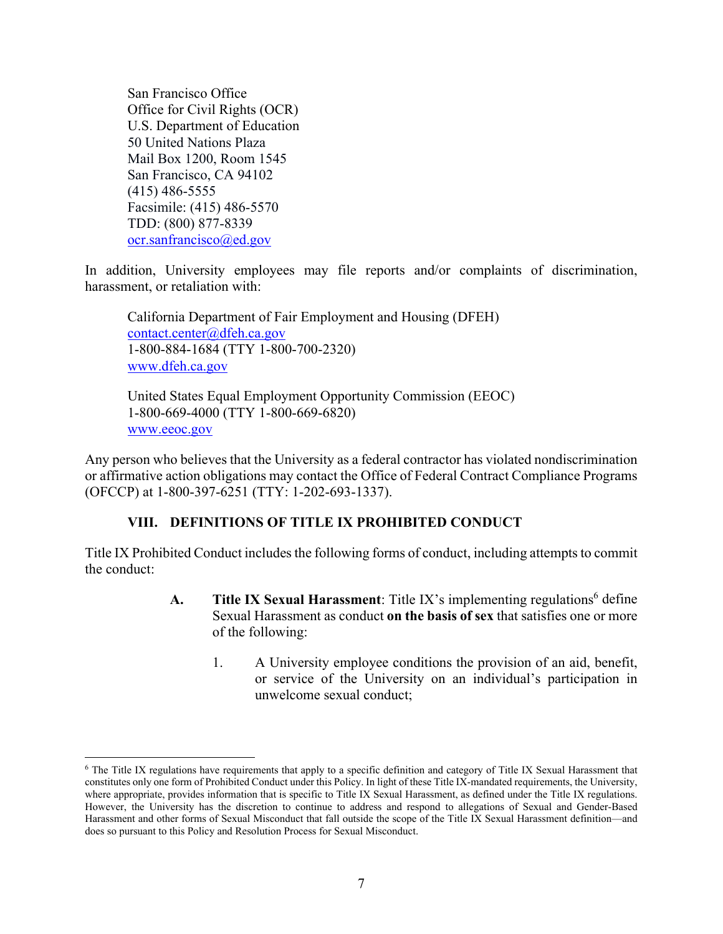San Francisco Office Office for Civil Rights (OCR) U.S. Department of Education 50 United Nations Plaza Mail Box 1200, Room 1545 San Francisco, CA 94102 (415) 486-5555 Facsimile: (415) 486-5570 TDD: (800) 877-8339 ocr.sanfrancisco@ed.gov

In addition, University employees may file reports and/or complaints of discrimination, harassment, or retaliation with:

California Department of Fair Employment and Housing (DFEH) contact.center@dfeh.ca.gov 1-800-884-1684 (TTY 1-800-700-2320) www.dfeh.ca.gov

United States Equal Employment Opportunity Commission (EEOC) 1-800-669-4000 (TTY 1-800-669-6820) www.eeoc.gov

Any person who believes that the University as a federal contractor has violated nondiscrimination or affirmative action obligations may contact the Office of Federal Contract Compliance Programs (OFCCP) at 1-800-397-6251 (TTY: 1-202-693-1337).

#### **VIII. DEFINITIONS OF TITLE IX PROHIBITED CONDUCT**

Title IX Prohibited Conduct includes the following forms of conduct, including attempts to commit the conduct:

- A. Title IX Sexual Harassment: Title IX's implementing regulations<sup>6</sup> define Sexual Harassment as conduct **on the basis of sex** that satisfies one or more of the following:
	- 1. A University employee conditions the provision of an aid, benefit, or service of the University on an individual's participation in unwelcome sexual conduct;

<sup>6</sup> The Title IX regulations have requirements that apply to a specific definition and category of Title IX Sexual Harassment that constitutes only one form of Prohibited Conduct under this Policy. In light of these Title IX-mandated requirements, the University, where appropriate, provides information that is specific to Title IX Sexual Harassment, as defined under the Title IX regulations. However, the University has the discretion to continue to address and respond to allegations of Sexual and Gender-Based Harassment and other forms of Sexual Misconduct that fall outside the scope of the Title IX Sexual Harassment definition—and does so pursuant to this Policy and Resolution Process for Sexual Misconduct.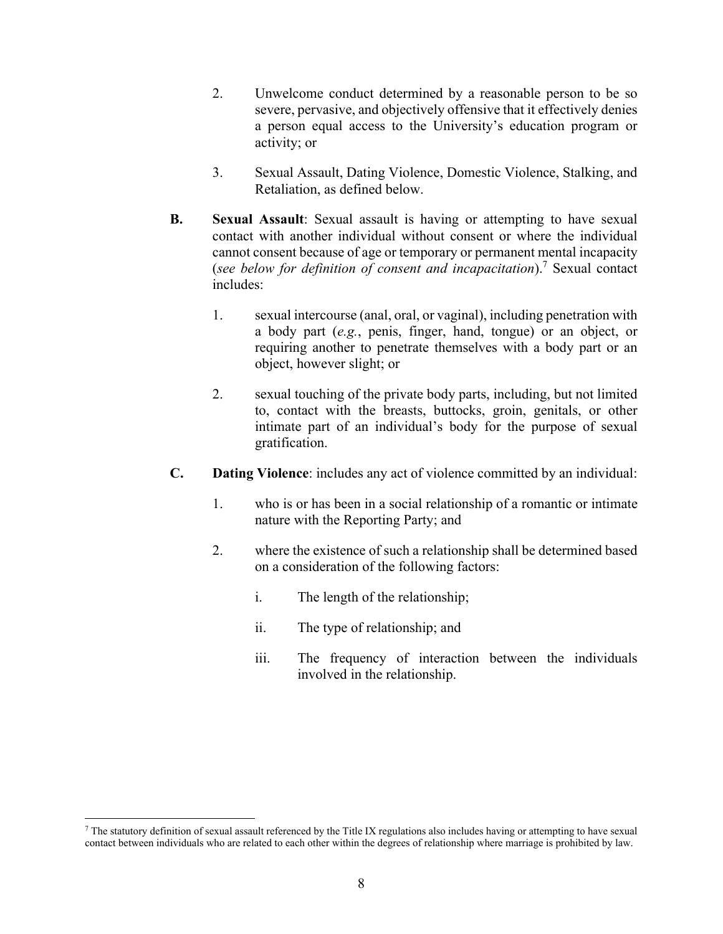- 2. Unwelcome conduct determined by a reasonable person to be so severe, pervasive, and objectively offensive that it effectively denies a person equal access to the University's education program or activity; or
- 3. Sexual Assault, Dating Violence, Domestic Violence, Stalking, and Retaliation, as defined below.
- **B. Sexual Assault**: Sexual assault is having or attempting to have sexual contact with another individual without consent or where the individual cannot consent because of age or temporary or permanent mental incapacity (*see below for definition of consent and incapacitation*).7 Sexual contact includes:
	- 1. sexual intercourse (anal, oral, or vaginal), including penetration with a body part (*e.g.*, penis, finger, hand, tongue) or an object, or requiring another to penetrate themselves with a body part or an object, however slight; or
	- 2. sexual touching of the private body parts, including, but not limited to, contact with the breasts, buttocks, groin, genitals, or other intimate part of an individual's body for the purpose of sexual gratification.
- **C. Dating Violence**: includes any act of violence committed by an individual:
	- 1. who is or has been in a social relationship of a romantic or intimate nature with the Reporting Party; and
	- 2. where the existence of such a relationship shall be determined based on a consideration of the following factors:
		- i. The length of the relationship;
		- ii. The type of relationship; and
		- iii. The frequency of interaction between the individuals involved in the relationship.

<sup>7</sup> The statutory definition of sexual assault referenced by the Title IX regulations also includes having or attempting to have sexual contact between individuals who are related to each other within the degrees of relationship where marriage is prohibited by law.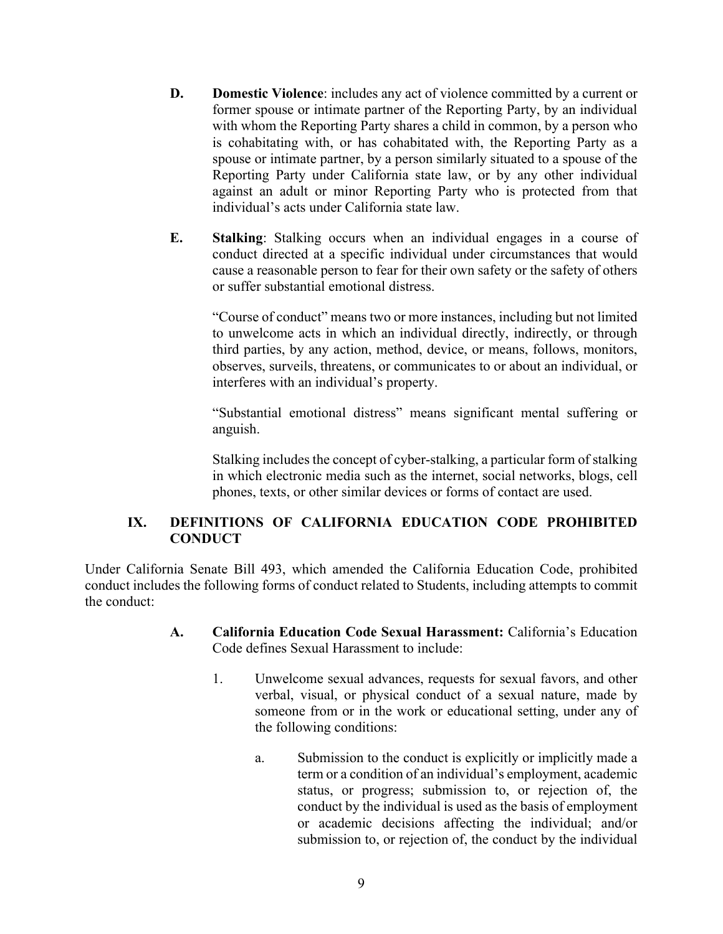- **D. Domestic Violence**: includes any act of violence committed by a current or former spouse or intimate partner of the Reporting Party, by an individual with whom the Reporting Party shares a child in common, by a person who is cohabitating with, or has cohabitated with, the Reporting Party as a spouse or intimate partner, by a person similarly situated to a spouse of the Reporting Party under California state law, or by any other individual against an adult or minor Reporting Party who is protected from that individual's acts under California state law.
- **E. Stalking**: Stalking occurs when an individual engages in a course of conduct directed at a specific individual under circumstances that would cause a reasonable person to fear for their own safety or the safety of others or suffer substantial emotional distress.

"Course of conduct" means two or more instances, including but not limited to unwelcome acts in which an individual directly, indirectly, or through third parties, by any action, method, device, or means, follows, monitors, observes, surveils, threatens, or communicates to or about an individual, or interferes with an individual's property.

"Substantial emotional distress" means significant mental suffering or anguish.

Stalking includes the concept of cyber-stalking, a particular form of stalking in which electronic media such as the internet, social networks, blogs, cell phones, texts, or other similar devices or forms of contact are used.

#### **IX. DEFINITIONS OF CALIFORNIA EDUCATION CODE PROHIBITED CONDUCT**

Under California Senate Bill 493, which amended the California Education Code, prohibited conduct includes the following forms of conduct related to Students, including attempts to commit the conduct:

- **A. California Education Code Sexual Harassment:** California's Education Code defines Sexual Harassment to include:
	- 1. Unwelcome sexual advances, requests for sexual favors, and other verbal, visual, or physical conduct of a sexual nature, made by someone from or in the work or educational setting, under any of the following conditions:
		- a. Submission to the conduct is explicitly or implicitly made a term or a condition of an individual's employment, academic status, or progress; submission to, or rejection of, the conduct by the individual is used as the basis of employment or academic decisions affecting the individual; and/or submission to, or rejection of, the conduct by the individual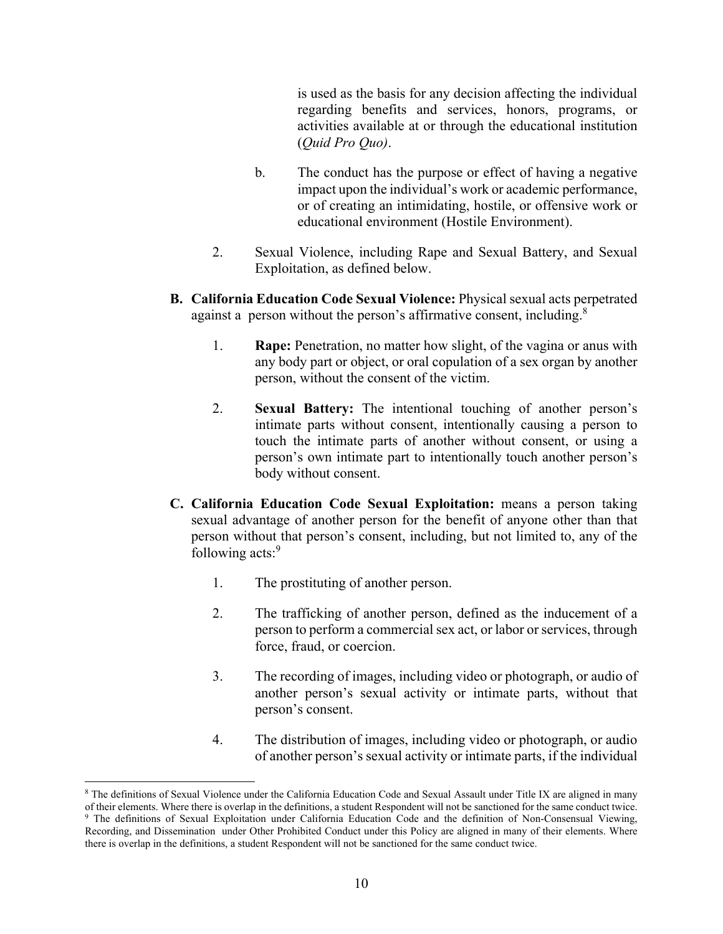is used as the basis for any decision affecting the individual regarding benefits and services, honors, programs, or activities available at or through the educational institution (*Quid Pro Quo)*.

- b. The conduct has the purpose or effect of having a negative impact upon the individual's work or academic performance, or of creating an intimidating, hostile, or offensive work or educational environment (Hostile Environment).
- 2. Sexual Violence, including Rape and Sexual Battery, and Sexual Exploitation, as defined below.
- **B. California Education Code Sexual Violence:** Physical sexual acts perpetrated against a person without the person's affirmative consent, including.<sup>8</sup>
	- 1. **Rape:** Penetration, no matter how slight, of the vagina or anus with any body part or object, or oral copulation of a sex organ by another person, without the consent of the victim.
	- 2. **Sexual Battery:** The intentional touching of another person's intimate parts without consent, intentionally causing a person to touch the intimate parts of another without consent, or using a person's own intimate part to intentionally touch another person's body without consent.
- **C. California Education Code Sexual Exploitation:** means a person taking sexual advantage of another person for the benefit of anyone other than that person without that person's consent, including, but not limited to, any of the following acts:<sup>9</sup>
	- 1. The prostituting of another person.
	- 2. The trafficking of another person, defined as the inducement of a person to perform a commercial sex act, or labor or services, through force, fraud, or coercion.
	- 3. The recording of images, including video or photograph, or audio of another person's sexual activity or intimate parts, without that person's consent.
	- 4. The distribution of images, including video or photograph, or audio of another person's sexual activity or intimate parts, if the individual

<sup>8</sup> The definitions of Sexual Violence under the California Education Code and Sexual Assault under Title IX are aligned in many of their elements. Where there is overlap in the definitions, a student Respondent will not be sanctioned for the same conduct twice.<br><sup>9</sup> The definitions of Sexual Exploitation under California Education Code and the defin

Recording, and Dissemination under Other Prohibited Conduct under this Policy are aligned in many of their elements. Where there is overlap in the definitions, a student Respondent will not be sanctioned for the same conduct twice.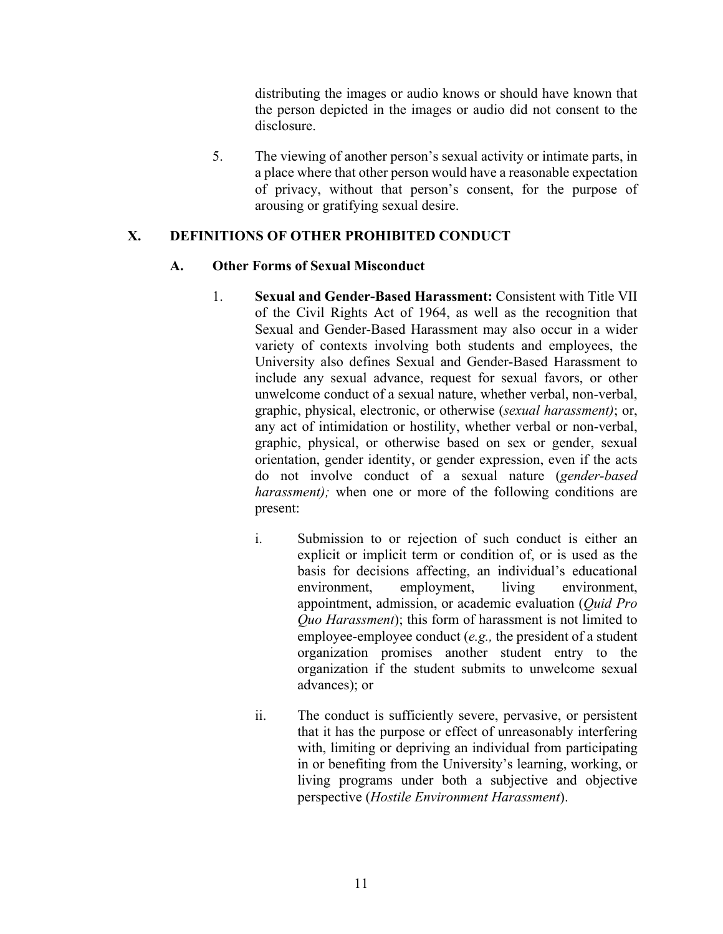distributing the images or audio knows or should have known that the person depicted in the images or audio did not consent to the disclosure.

5. The viewing of another person's sexual activity or intimate parts, in a place where that other person would have a reasonable expectation of privacy, without that person's consent, for the purpose of arousing or gratifying sexual desire.

#### **X. DEFINITIONS OF OTHER PROHIBITED CONDUCT**

#### **A. Other Forms of Sexual Misconduct**

- 1. **Sexual and Gender-Based Harassment:** Consistent with Title VII of the Civil Rights Act of 1964, as well as the recognition that Sexual and Gender-Based Harassment may also occur in a wider variety of contexts involving both students and employees, the University also defines Sexual and Gender-Based Harassment to include any sexual advance, request for sexual favors, or other unwelcome conduct of a sexual nature, whether verbal, non-verbal, graphic, physical, electronic, or otherwise (*sexual harassment)*; or, any act of intimidation or hostility, whether verbal or non-verbal, graphic, physical, or otherwise based on sex or gender, sexual orientation, gender identity, or gender expression, even if the acts do not involve conduct of a sexual nature (*gender-based harassment*); when one or more of the following conditions are present:
	- i. Submission to or rejection of such conduct is either an explicit or implicit term or condition of, or is used as the basis for decisions affecting, an individual's educational environment, employment, living environment, appointment, admission, or academic evaluation (*Quid Pro Quo Harassment*); this form of harassment is not limited to employee-employee conduct (*e.g.,* the president of a student organization promises another student entry to the organization if the student submits to unwelcome sexual advances); or
	- ii. The conduct is sufficiently severe, pervasive, or persistent that it has the purpose or effect of unreasonably interfering with, limiting or depriving an individual from participating in or benefiting from the University's learning, working, or living programs under both a subjective and objective perspective (*Hostile Environment Harassment*).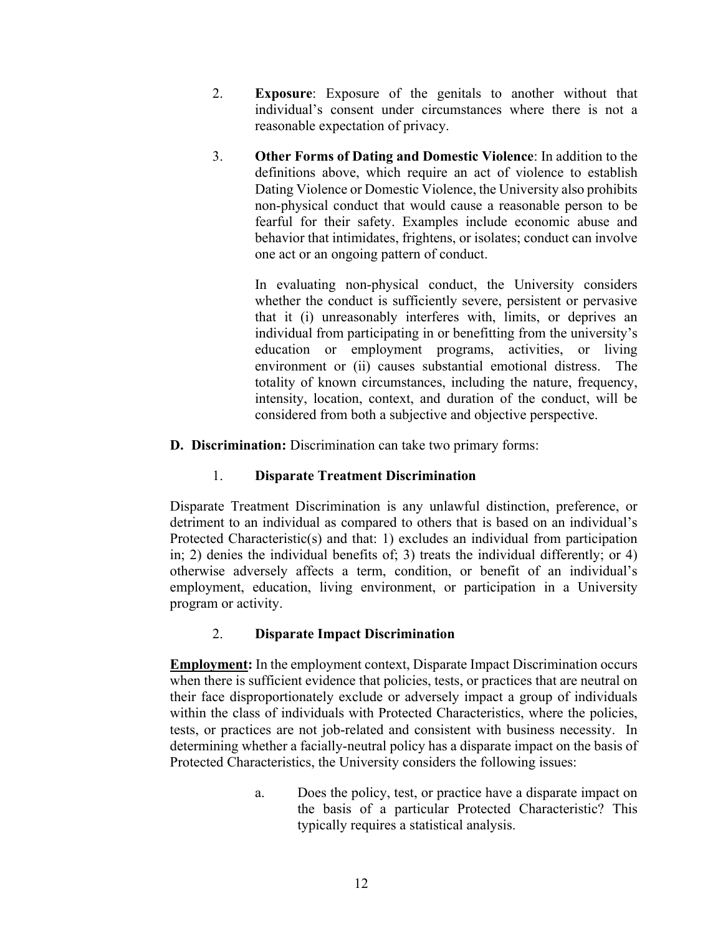- 2. **Exposure**: Exposure of the genitals to another without that individual's consent under circumstances where there is not a reasonable expectation of privacy.
- 3. **Other Forms of Dating and Domestic Violence**: In addition to the definitions above, which require an act of violence to establish Dating Violence or Domestic Violence, the University also prohibits non-physical conduct that would cause a reasonable person to be fearful for their safety. Examples include economic abuse and behavior that intimidates, frightens, or isolates; conduct can involve one act or an ongoing pattern of conduct.

In evaluating non-physical conduct, the University considers whether the conduct is sufficiently severe, persistent or pervasive that it (i) unreasonably interferes with, limits, or deprives an individual from participating in or benefitting from the university's education or employment programs, activities, or living environment or (ii) causes substantial emotional distress. The totality of known circumstances, including the nature, frequency, intensity, location, context, and duration of the conduct, will be considered from both a subjective and objective perspective.

**D. Discrimination:** Discrimination can take two primary forms:

#### 1. **Disparate Treatment Discrimination**

Disparate Treatment Discrimination is any unlawful distinction, preference, or detriment to an individual as compared to others that is based on an individual's Protected Characteristic(s) and that: 1) excludes an individual from participation in; 2) denies the individual benefits of; 3) treats the individual differently; or 4) otherwise adversely affects a term, condition, or benefit of an individual's employment, education, living environment, or participation in a University program or activity.

#### 2. **Disparate Impact Discrimination**

**Employment:** In the employment context, Disparate Impact Discrimination occurs when there is sufficient evidence that policies, tests, or practices that are neutral on their face disproportionately exclude or adversely impact a group of individuals within the class of individuals with Protected Characteristics, where the policies, tests, or practices are not job-related and consistent with business necessity. In determining whether a facially-neutral policy has a disparate impact on the basis of Protected Characteristics, the University considers the following issues:

> a. Does the policy, test, or practice have a disparate impact on the basis of a particular Protected Characteristic? This typically requires a statistical analysis.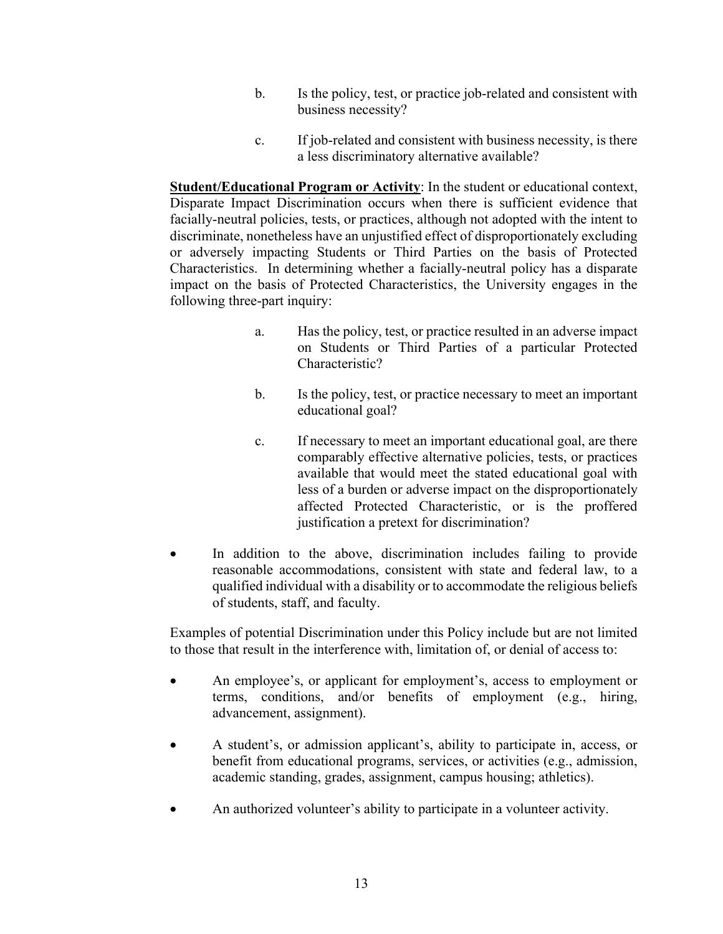- b. Is the policy, test, or practice job-related and consistent with business necessity?
- c. If job-related and consistent with business necessity, is there a less discriminatory alternative available?

**Student/Educational Program or Activity**: In the student or educational context, Disparate Impact Discrimination occurs when there is sufficient evidence that facially-neutral policies, tests, or practices, although not adopted with the intent to discriminate, nonetheless have an unjustified effect of disproportionately excluding or adversely impacting Students or Third Parties on the basis of Protected Characteristics. In determining whether a facially-neutral policy has a disparate impact on the basis of Protected Characteristics, the University engages in the following three-part inquiry:

- a. Has the policy, test, or practice resulted in an adverse impact on Students or Third Parties of a particular Protected Characteristic?
- b. Is the policy, test, or practice necessary to meet an important educational goal?
- c. If necessary to meet an important educational goal, are there comparably effective alternative policies, tests, or practices available that would meet the stated educational goal with less of a burden or adverse impact on the disproportionately affected Protected Characteristic, or is the proffered justification a pretext for discrimination?
- In addition to the above, discrimination includes failing to provide reasonable accommodations, consistent with state and federal law, to a qualified individual with a disability or to accommodate the religious beliefs of students, staff, and faculty.

Examples of potential Discrimination under this Policy include but are not limited to those that result in the interference with, limitation of, or denial of access to:

- An employee's, or applicant for employment's, access to employment or terms, conditions, and/or benefits of employment (e.g., hiring, advancement, assignment).
- A student's, or admission applicant's, ability to participate in, access, or benefit from educational programs, services, or activities (e.g., admission, academic standing, grades, assignment, campus housing; athletics).
- An authorized volunteer's ability to participate in a volunteer activity.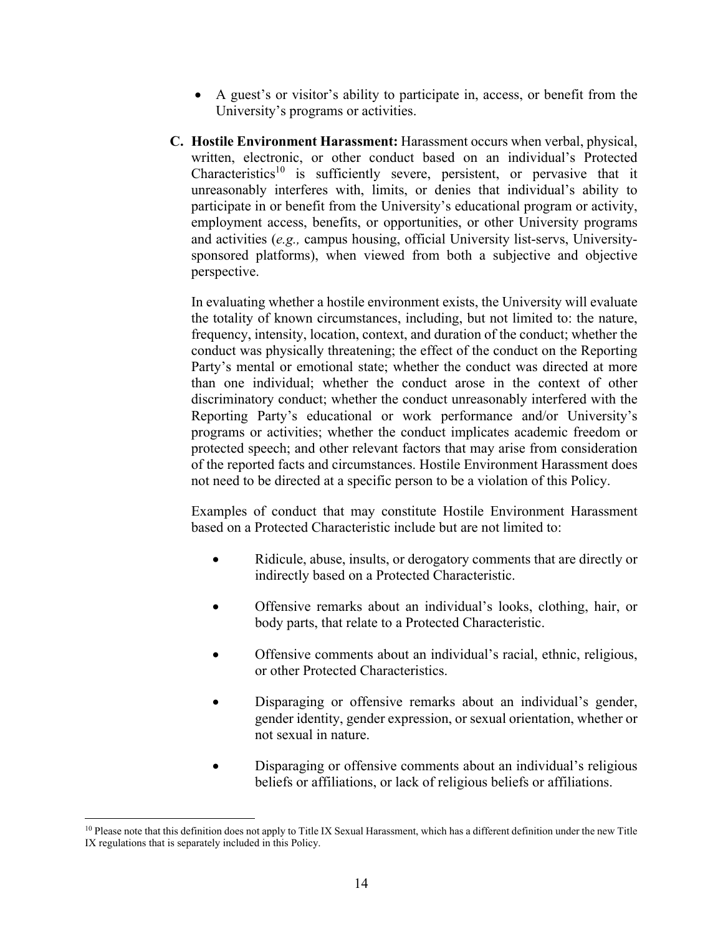- A guest's or visitor's ability to participate in, access, or benefit from the University's programs or activities.
- **C. Hostile Environment Harassment:** Harassment occurs when verbal, physical, written, electronic, or other conduct based on an individual's Protected Characteristics<sup>10</sup> is sufficiently severe, persistent, or pervasive that it unreasonably interferes with, limits, or denies that individual's ability to participate in or benefit from the University's educational program or activity, employment access, benefits, or opportunities, or other University programs and activities (*e.g.,* campus housing, official University list-servs, Universitysponsored platforms), when viewed from both a subjective and objective perspective.

In evaluating whether a hostile environment exists, the University will evaluate the totality of known circumstances, including, but not limited to: the nature, frequency, intensity, location, context, and duration of the conduct; whether the conduct was physically threatening; the effect of the conduct on the Reporting Party's mental or emotional state; whether the conduct was directed at more than one individual; whether the conduct arose in the context of other discriminatory conduct; whether the conduct unreasonably interfered with the Reporting Party's educational or work performance and/or University's programs or activities; whether the conduct implicates academic freedom or protected speech; and other relevant factors that may arise from consideration of the reported facts and circumstances. Hostile Environment Harassment does not need to be directed at a specific person to be a violation of this Policy.

Examples of conduct that may constitute Hostile Environment Harassment based on a Protected Characteristic include but are not limited to:

- Ridicule, abuse, insults, or derogatory comments that are directly or indirectly based on a Protected Characteristic.
- Offensive remarks about an individual's looks, clothing, hair, or body parts, that relate to a Protected Characteristic.
- Offensive comments about an individual's racial, ethnic, religious, or other Protected Characteristics.
- Disparaging or offensive remarks about an individual's gender, gender identity, gender expression, or sexual orientation, whether or not sexual in nature.
- Disparaging or offensive comments about an individual's religious beliefs or affiliations, or lack of religious beliefs or affiliations.

<sup>&</sup>lt;sup>10</sup> Please note that this definition does not apply to Title IX Sexual Harassment, which has a different definition under the new Title IX regulations that is separately included in this Policy.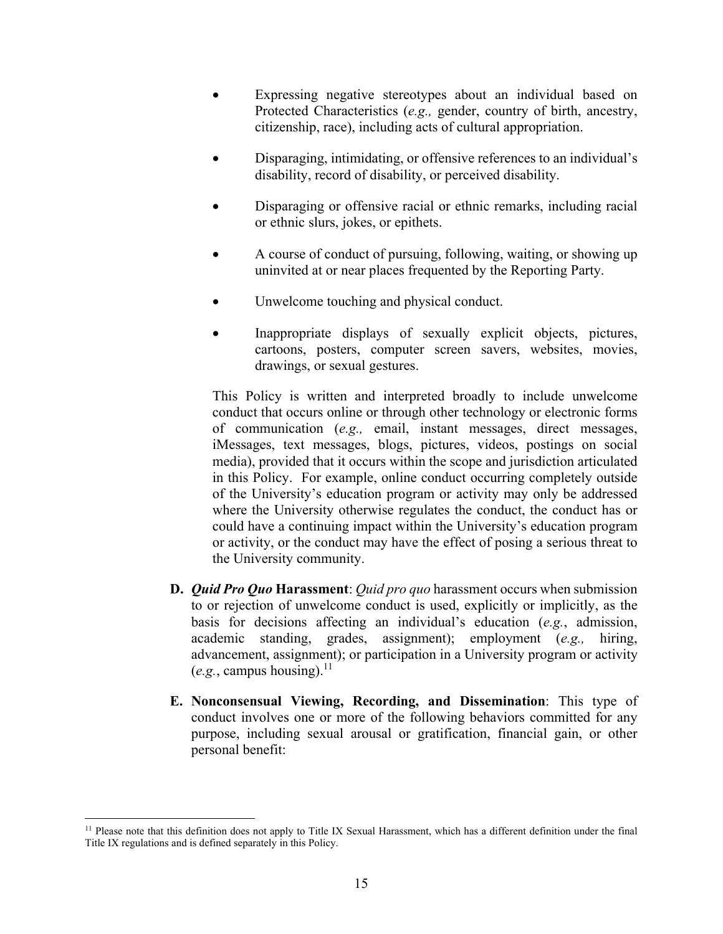- Expressing negative stereotypes about an individual based on Protected Characteristics (*e.g.,* gender, country of birth, ancestry, citizenship, race), including acts of cultural appropriation.
- Disparaging, intimidating, or offensive references to an individual's disability, record of disability, or perceived disability.
- Disparaging or offensive racial or ethnic remarks, including racial or ethnic slurs, jokes, or epithets.
- A course of conduct of pursuing, following, waiting, or showing up uninvited at or near places frequented by the Reporting Party.
- Unwelcome touching and physical conduct.
- Inappropriate displays of sexually explicit objects, pictures, cartoons, posters, computer screen savers, websites, movies, drawings, or sexual gestures.

This Policy is written and interpreted broadly to include unwelcome conduct that occurs online or through other technology or electronic forms of communication (*e.g.,* email, instant messages, direct messages, iMessages, text messages, blogs, pictures, videos, postings on social media), provided that it occurs within the scope and jurisdiction articulated in this Policy. For example, online conduct occurring completely outside of the University's education program or activity may only be addressed where the University otherwise regulates the conduct, the conduct has or could have a continuing impact within the University's education program or activity, or the conduct may have the effect of posing a serious threat to the University community.

- **D.** *Quid Pro Quo* **Harassment**: *Quid pro quo* harassment occurs when submission to or rejection of unwelcome conduct is used, explicitly or implicitly, as the basis for decisions affecting an individual's education (*e.g.*, admission, academic standing, grades, assignment); employment (*e.g.,* hiring, advancement, assignment); or participation in a University program or activity  $(e.g.,$  campus housing).<sup>11</sup>
- **E. Nonconsensual Viewing, Recording, and Dissemination**: This type of conduct involves one or more of the following behaviors committed for any purpose, including sexual arousal or gratification, financial gain, or other personal benefit:

<sup>&</sup>lt;sup>11</sup> Please note that this definition does not apply to Title IX Sexual Harassment, which has a different definition under the final Title IX regulations and is defined separately in this Policy.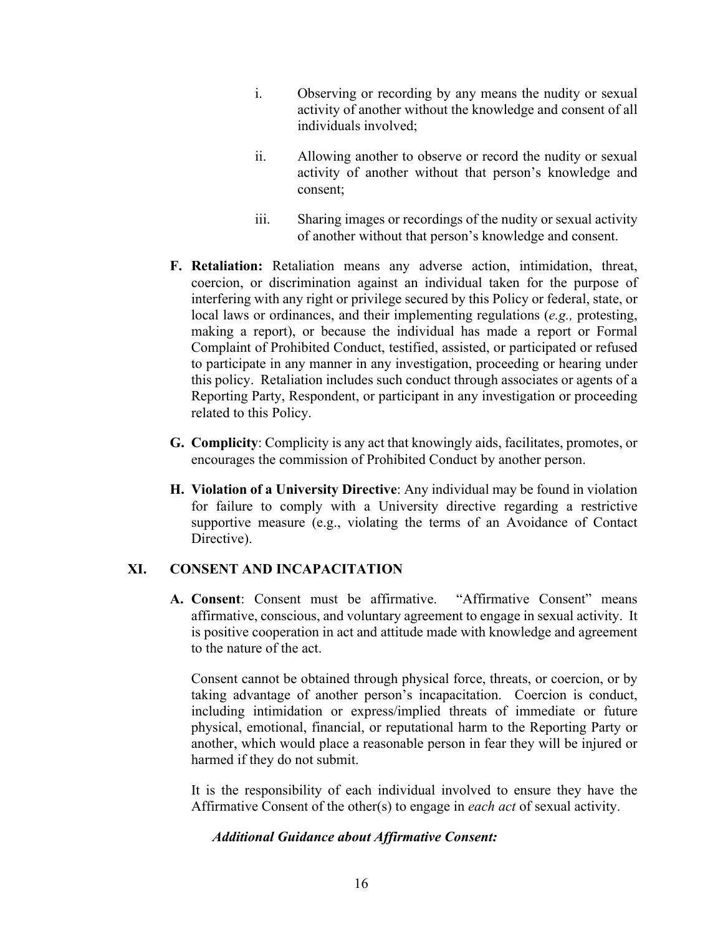- i. Observing or recording by any means the nudity or sexual activity of another without the knowledge and consent of all individuals involved;
- ii. Allowing another to observe or record the nudity or sexual activity of another without that person's knowledge and consent;
- iii. Sharing images or recordings of the nudity or sexual activity of another without that person's knowledge and consent.
- **F. Retaliation:** Retaliation means any adverse action, intimidation, threat, coercion, or discrimination against an individual taken for the purpose of interfering with any right or privilege secured by this Policy or federal, state, or local laws or ordinances, and their implementing regulations (*e.g.,* protesting, making a report), or because the individual has made a report or Formal Complaint of Prohibited Conduct, testified, assisted, or participated or refused to participate in any manner in any investigation, proceeding or hearing under this policy. Retaliation includes such conduct through associates or agents of a Reporting Party, Respondent, or participant in any investigation or proceeding related to this Policy.
- **G. Complicity**: Complicity is any act that knowingly aids, facilitates, promotes, or encourages the commission of Prohibited Conduct by another person.
- **H. Violation of a University Directive**: Any individual may be found in violation for failure to comply with a University directive regarding a restrictive supportive measure (e.g., violating the terms of an Avoidance of Contact Directive).

#### **XI. CONSENT AND INCAPACITATION**

**A. Consent**: Consent must be affirmative. "Affirmative Consent" means affirmative, conscious, and voluntary agreement to engage in sexual activity. It is positive cooperation in act and attitude made with knowledge and agreement to the nature of the act.

Consent cannot be obtained through physical force, threats, or coercion, or by taking advantage of another person's incapacitation. Coercion is conduct, including intimidation or express/implied threats of immediate or future physical, emotional, financial, or reputational harm to the Reporting Party or another, which would place a reasonable person in fear they will be injured or harmed if they do not submit.

It is the responsibility of each individual involved to ensure they have the Affirmative Consent of the other(s) to engage in *each act* of sexual activity.

#### *Additional Guidance about Affirmative Consent:*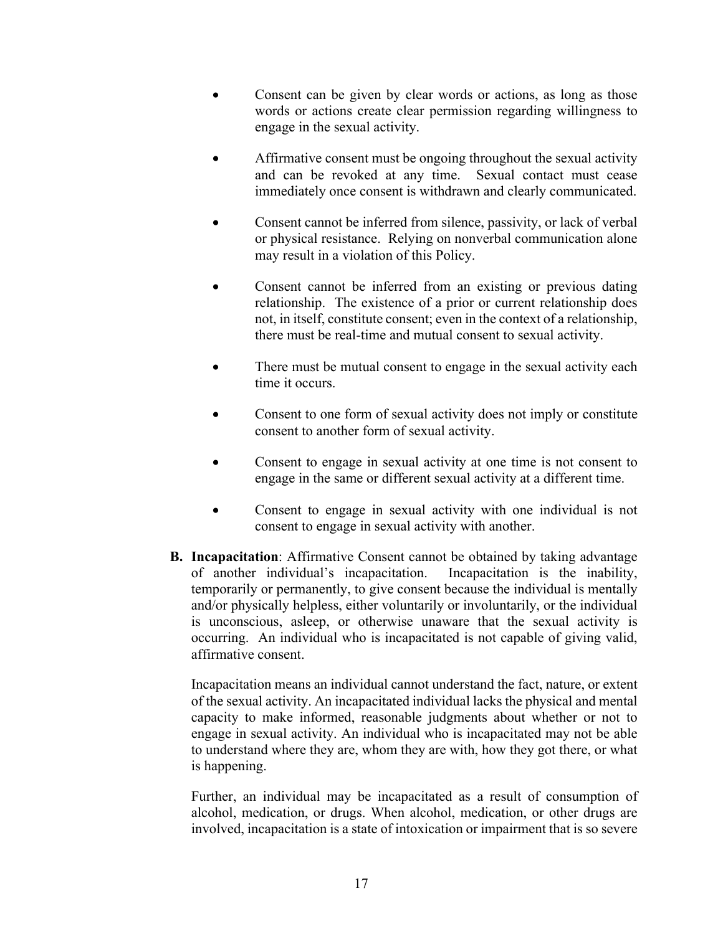- Consent can be given by clear words or actions, as long as those words or actions create clear permission regarding willingness to engage in the sexual activity.
- Affirmative consent must be ongoing throughout the sexual activity and can be revoked at any time. Sexual contact must cease immediately once consent is withdrawn and clearly communicated.
- Consent cannot be inferred from silence, passivity, or lack of verbal or physical resistance. Relying on nonverbal communication alone may result in a violation of this Policy.
- Consent cannot be inferred from an existing or previous dating relationship. The existence of a prior or current relationship does not, in itself, constitute consent; even in the context of a relationship, there must be real-time and mutual consent to sexual activity.
- There must be mutual consent to engage in the sexual activity each time it occurs.
- Consent to one form of sexual activity does not imply or constitute consent to another form of sexual activity.
- Consent to engage in sexual activity at one time is not consent to engage in the same or different sexual activity at a different time.
- Consent to engage in sexual activity with one individual is not consent to engage in sexual activity with another.
- **B. Incapacitation**: Affirmative Consent cannot be obtained by taking advantage of another individual's incapacitation. Incapacitation is the inability, temporarily or permanently, to give consent because the individual is mentally and/or physically helpless, either voluntarily or involuntarily, or the individual is unconscious, asleep, or otherwise unaware that the sexual activity is occurring. An individual who is incapacitated is not capable of giving valid, affirmative consent.

Incapacitation means an individual cannot understand the fact, nature, or extent of the sexual activity. An incapacitated individual lacks the physical and mental capacity to make informed, reasonable judgments about whether or not to engage in sexual activity. An individual who is incapacitated may not be able to understand where they are, whom they are with, how they got there, or what is happening.

Further, an individual may be incapacitated as a result of consumption of alcohol, medication, or drugs. When alcohol, medication, or other drugs are involved, incapacitation is a state of intoxication or impairment that is so severe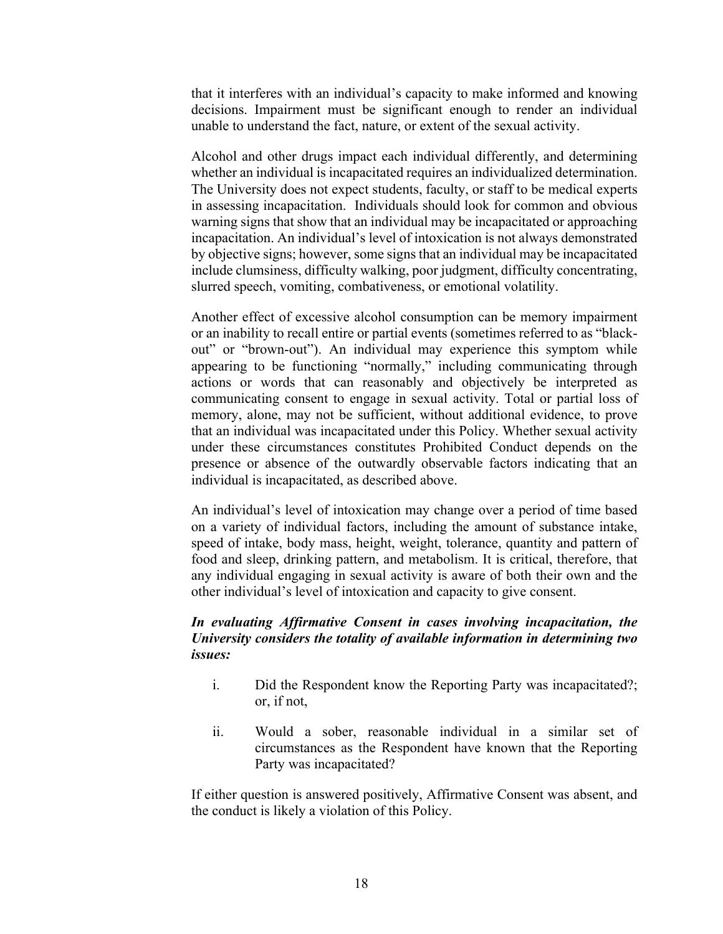that it interferes with an individual's capacity to make informed and knowing decisions. Impairment must be significant enough to render an individual unable to understand the fact, nature, or extent of the sexual activity.

Alcohol and other drugs impact each individual differently, and determining whether an individual is incapacitated requires an individualized determination. The University does not expect students, faculty, or staff to be medical experts in assessing incapacitation. Individuals should look for common and obvious warning signs that show that an individual may be incapacitated or approaching incapacitation. An individual's level of intoxication is not always demonstrated by objective signs; however, some signs that an individual may be incapacitated include clumsiness, difficulty walking, poor judgment, difficulty concentrating, slurred speech, vomiting, combativeness, or emotional volatility.

Another effect of excessive alcohol consumption can be memory impairment or an inability to recall entire or partial events (sometimes referred to as "blackout" or "brown-out"). An individual may experience this symptom while appearing to be functioning "normally," including communicating through actions or words that can reasonably and objectively be interpreted as communicating consent to engage in sexual activity. Total or partial loss of memory, alone, may not be sufficient, without additional evidence, to prove that an individual was incapacitated under this Policy. Whether sexual activity under these circumstances constitutes Prohibited Conduct depends on the presence or absence of the outwardly observable factors indicating that an individual is incapacitated, as described above.

An individual's level of intoxication may change over a period of time based on a variety of individual factors, including the amount of substance intake, speed of intake, body mass, height, weight, tolerance, quantity and pattern of food and sleep, drinking pattern, and metabolism. It is critical, therefore, that any individual engaging in sexual activity is aware of both their own and the other individual's level of intoxication and capacity to give consent.

#### *In evaluating Affirmative Consent in cases involving incapacitation, the University considers the totality of available information in determining two issues:*

- i. Did the Respondent know the Reporting Party was incapacitated?; or, if not,
- ii. Would a sober, reasonable individual in a similar set of circumstances as the Respondent have known that the Reporting Party was incapacitated?

If either question is answered positively, Affirmative Consent was absent, and the conduct is likely a violation of this Policy.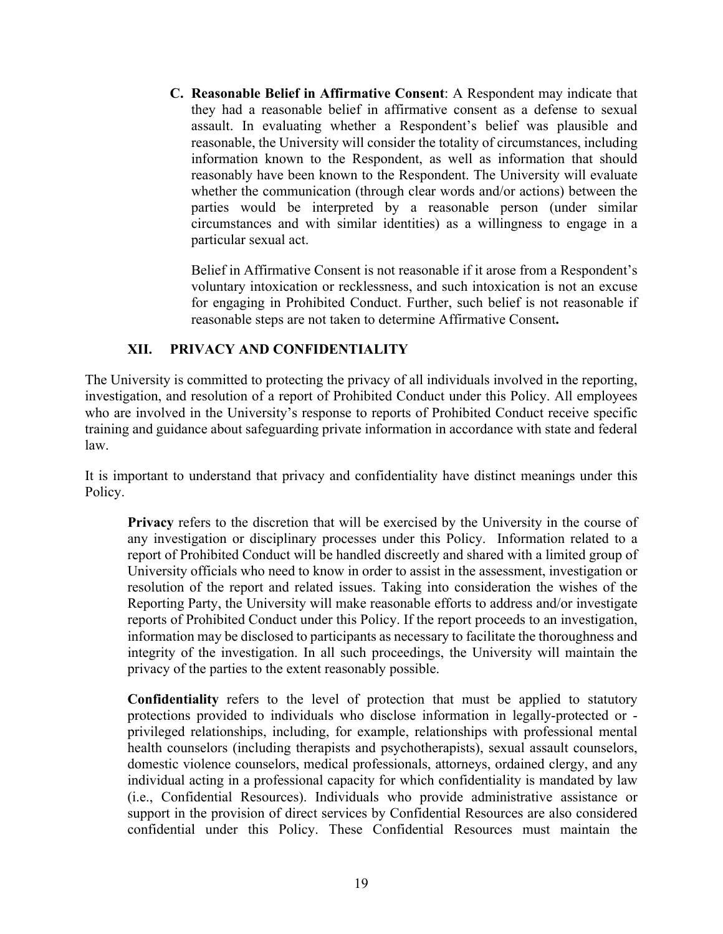**C. Reasonable Belief in Affirmative Consent**: A Respondent may indicate that they had a reasonable belief in affirmative consent as a defense to sexual assault. In evaluating whether a Respondent's belief was plausible and reasonable, the University will consider the totality of circumstances, including information known to the Respondent, as well as information that should reasonably have been known to the Respondent. The University will evaluate whether the communication (through clear words and/or actions) between the parties would be interpreted by a reasonable person (under similar circumstances and with similar identities) as a willingness to engage in a particular sexual act.

Belief in Affirmative Consent is not reasonable if it arose from a Respondent's voluntary intoxication or recklessness, and such intoxication is not an excuse for engaging in Prohibited Conduct. Further, such belief is not reasonable if reasonable steps are not taken to determine Affirmative Consent**.** 

#### **XII. PRIVACY AND CONFIDENTIALITY**

The University is committed to protecting the privacy of all individuals involved in the reporting, investigation, and resolution of a report of Prohibited Conduct under this Policy. All employees who are involved in the University's response to reports of Prohibited Conduct receive specific training and guidance about safeguarding private information in accordance with state and federal law.

It is important to understand that privacy and confidentiality have distinct meanings under this Policy.

**Privacy** refers to the discretion that will be exercised by the University in the course of any investigation or disciplinary processes under this Policy. Information related to a report of Prohibited Conduct will be handled discreetly and shared with a limited group of University officials who need to know in order to assist in the assessment, investigation or resolution of the report and related issues. Taking into consideration the wishes of the Reporting Party, the University will make reasonable efforts to address and/or investigate reports of Prohibited Conduct under this Policy. If the report proceeds to an investigation, information may be disclosed to participants as necessary to facilitate the thoroughness and integrity of the investigation. In all such proceedings, the University will maintain the privacy of the parties to the extent reasonably possible.

**Confidentiality** refers to the level of protection that must be applied to statutory protections provided to individuals who disclose information in legally-protected or privileged relationships, including, for example, relationships with professional mental health counselors (including therapists and psychotherapists), sexual assault counselors, domestic violence counselors, medical professionals, attorneys, ordained clergy, and any individual acting in a professional capacity for which confidentiality is mandated by law (i.e., Confidential Resources). Individuals who provide administrative assistance or support in the provision of direct services by Confidential Resources are also considered confidential under this Policy. These Confidential Resources must maintain the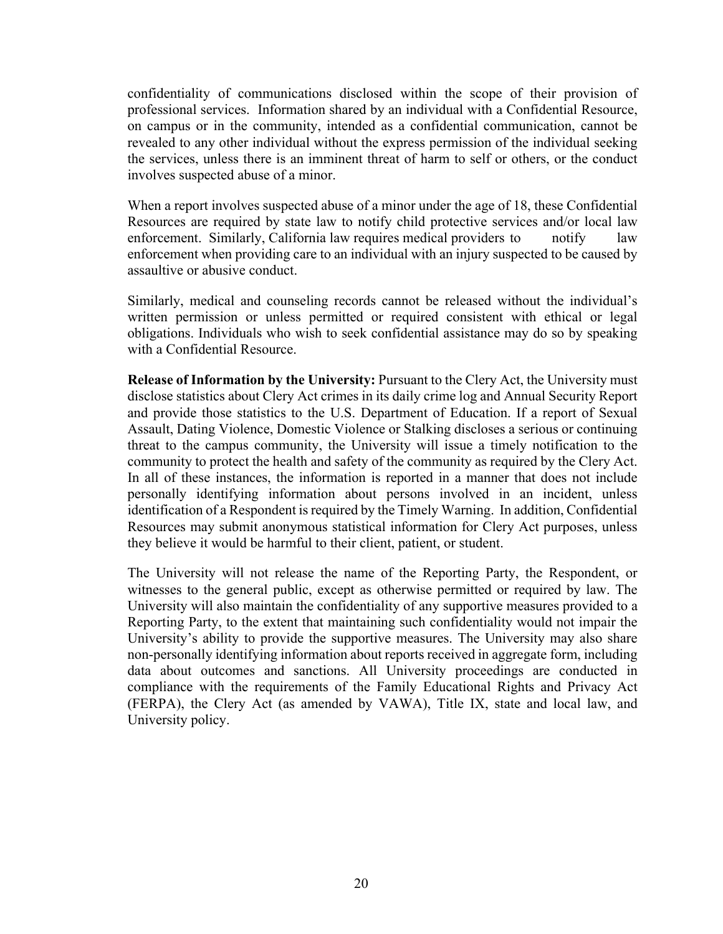confidentiality of communications disclosed within the scope of their provision of professional services. Information shared by an individual with a Confidential Resource, on campus or in the community, intended as a confidential communication, cannot be revealed to any other individual without the express permission of the individual seeking the services, unless there is an imminent threat of harm to self or others, or the conduct involves suspected abuse of a minor.

When a report involves suspected abuse of a minor under the age of 18, these Confidential Resources are required by state law to notify child protective services and/or local law enforcement. Similarly, California law requires medical providers to notify law enforcement when providing care to an individual with an injury suspected to be caused by assaultive or abusive conduct.

Similarly, medical and counseling records cannot be released without the individual's written permission or unless permitted or required consistent with ethical or legal obligations. Individuals who wish to seek confidential assistance may do so by speaking with a Confidential Resource.

**Release of Information by the University:** Pursuant to the Clery Act, the University must disclose statistics about Clery Act crimes in its daily crime log and Annual Security Report and provide those statistics to the U.S. Department of Education. If a report of Sexual Assault, Dating Violence, Domestic Violence or Stalking discloses a serious or continuing threat to the campus community, the University will issue a timely notification to the community to protect the health and safety of the community as required by the Clery Act. In all of these instances, the information is reported in a manner that does not include personally identifying information about persons involved in an incident, unless identification of a Respondent is required by the Timely Warning. In addition, Confidential Resources may submit anonymous statistical information for Clery Act purposes, unless they believe it would be harmful to their client, patient, or student.

The University will not release the name of the Reporting Party, the Respondent, or witnesses to the general public, except as otherwise permitted or required by law. The University will also maintain the confidentiality of any supportive measures provided to a Reporting Party, to the extent that maintaining such confidentiality would not impair the University's ability to provide the supportive measures. The University may also share non-personally identifying information about reports received in aggregate form, including data about outcomes and sanctions. All University proceedings are conducted in compliance with the requirements of the Family Educational Rights and Privacy Act (FERPA), the Clery Act (as amended by VAWA), Title IX, state and local law, and University policy.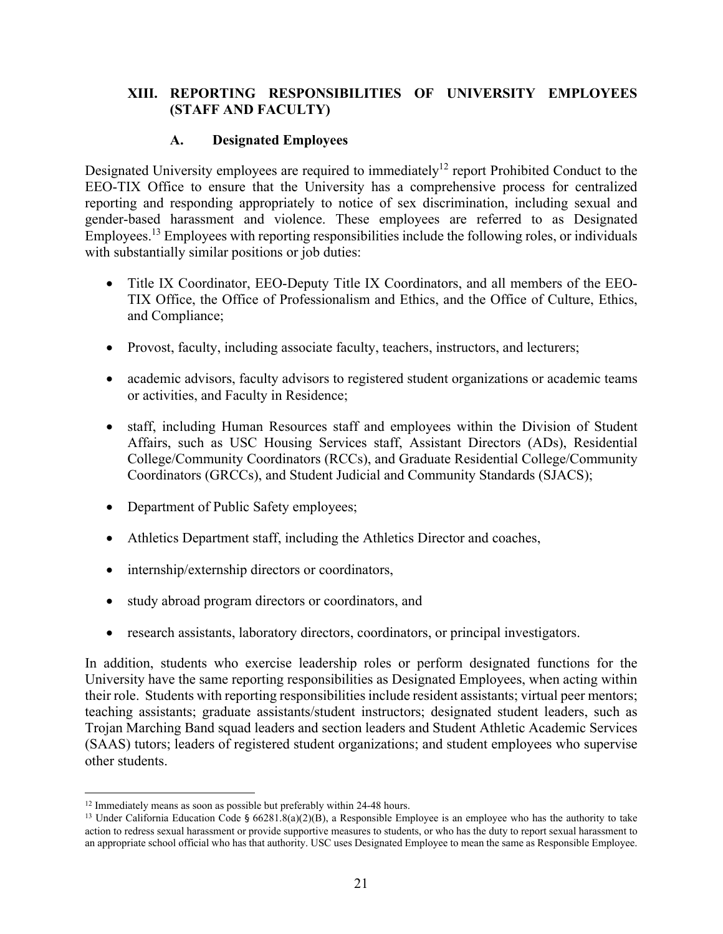#### **XIII. REPORTING RESPONSIBILITIES OF UNIVERSITY EMPLOYEES (STAFF AND FACULTY)**

#### **A. Designated Employees**

Designated University employees are required to immediately<sup>12</sup> report Prohibited Conduct to the EEO-TIX Office to ensure that the University has a comprehensive process for centralized reporting and responding appropriately to notice of sex discrimination, including sexual and gender-based harassment and violence. These employees are referred to as Designated Employees.13 Employees with reporting responsibilities include the following roles, or individuals with substantially similar positions or job duties:

- Title IX Coordinator, EEO-Deputy Title IX Coordinators, and all members of the EEO-TIX Office, the Office of Professionalism and Ethics, and the Office of Culture, Ethics, and Compliance;
- Provost, faculty, including associate faculty, teachers, instructors, and lecturers;
- academic advisors, faculty advisors to registered student organizations or academic teams or activities, and Faculty in Residence;
- staff, including Human Resources staff and employees within the Division of Student Affairs, such as USC Housing Services staff, Assistant Directors (ADs), Residential College/Community Coordinators (RCCs), and Graduate Residential College/Community Coordinators (GRCCs), and Student Judicial and Community Standards (SJACS);
- Department of Public Safety employees;
- Athletics Department staff, including the Athletics Director and coaches,
- internship/externship directors or coordinators,
- study abroad program directors or coordinators, and
- research assistants, laboratory directors, coordinators, or principal investigators.

In addition, students who exercise leadership roles or perform designated functions for the University have the same reporting responsibilities as Designated Employees, when acting within their role. Students with reporting responsibilities include resident assistants; virtual peer mentors; teaching assistants; graduate assistants/student instructors; designated student leaders, such as Trojan Marching Band squad leaders and section leaders and Student Athletic Academic Services (SAAS) tutors; leaders of registered student organizations; and student employees who supervise other students.

<sup>&</sup>lt;sup>12</sup> Immediately means as soon as possible but preferably within 24-48 hours.<br><sup>13</sup> Under California Education Code § 66281.8(a)(2)(B), a Responsible Employee is an employee who has the authority to take action to redress sexual harassment or provide supportive measures to students, or who has the duty to report sexual harassment to an appropriate school official who has that authority. USC uses Designated Employee to mean the same as Responsible Employee.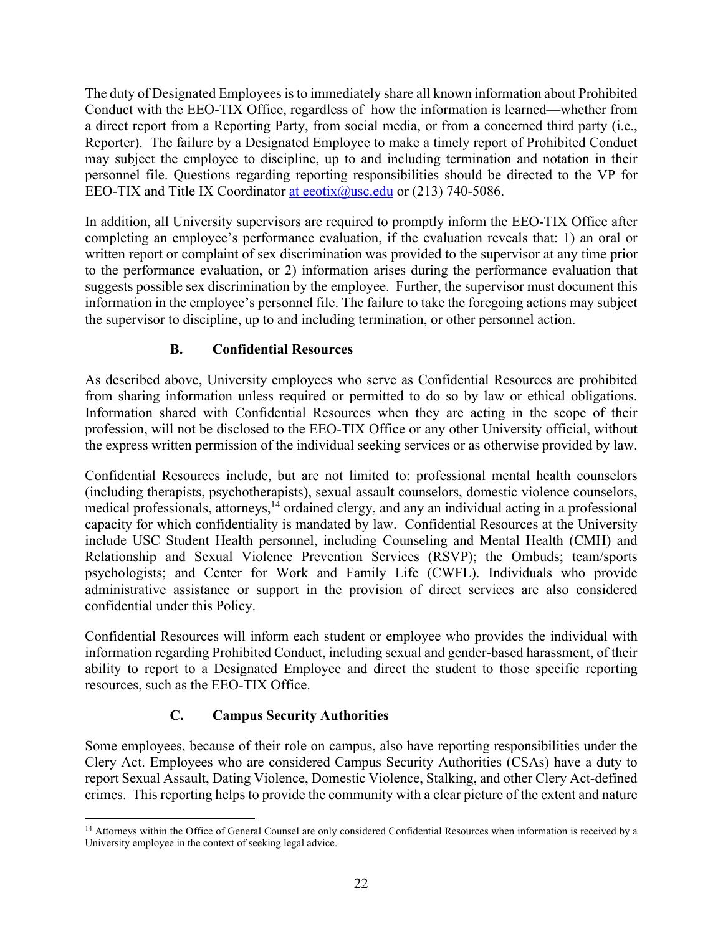The duty of Designated Employees is to immediately share all known information about Prohibited Conduct with the EEO-TIX Office, regardless of how the information is learned—whether from a direct report from a Reporting Party, from social media, or from a concerned third party (i.e., Reporter). The failure by a Designated Employee to make a timely report of Prohibited Conduct may subject the employee to discipline, up to and including termination and notation in their personnel file. Questions regarding reporting responsibilities should be directed to the VP for EEO-TIX and Title IX Coordinator at eeotix@usc.edu or (213) 740-5086.

In addition, all University supervisors are required to promptly inform the EEO-TIX Office after completing an employee's performance evaluation, if the evaluation reveals that: 1) an oral or written report or complaint of sex discrimination was provided to the supervisor at any time prior to the performance evaluation, or 2) information arises during the performance evaluation that suggests possible sex discrimination by the employee. Further, the supervisor must document this information in the employee's personnel file. The failure to take the foregoing actions may subject the supervisor to discipline, up to and including termination, or other personnel action.

## **B. Confidential Resources**

As described above, University employees who serve as Confidential Resources are prohibited from sharing information unless required or permitted to do so by law or ethical obligations. Information shared with Confidential Resources when they are acting in the scope of their profession, will not be disclosed to the EEO-TIX Office or any other University official, without the express written permission of the individual seeking services or as otherwise provided by law.

Confidential Resources include, but are not limited to: professional mental health counselors (including therapists, psychotherapists), sexual assault counselors, domestic violence counselors, medical professionals, attorneys,  $^{14}$  ordained clergy, and any an individual acting in a professional capacity for which confidentiality is mandated by law. Confidential Resources at the University include USC Student Health personnel, including Counseling and Mental Health (CMH) and Relationship and Sexual Violence Prevention Services (RSVP); the Ombuds; team/sports psychologists; and Center for Work and Family Life (CWFL). Individuals who provide administrative assistance or support in the provision of direct services are also considered confidential under this Policy.

Confidential Resources will inform each student or employee who provides the individual with information regarding Prohibited Conduct, including sexual and gender-based harassment, of their ability to report to a Designated Employee and direct the student to those specific reporting resources, such as the EEO-TIX Office.

# **C. Campus Security Authorities**

Some employees, because of their role on campus, also have reporting responsibilities under the Clery Act. Employees who are considered Campus Security Authorities (CSAs) have a duty to report Sexual Assault, Dating Violence, Domestic Violence, Stalking, and other Clery Act-defined crimes. This reporting helps to provide the community with a clear picture of the extent and nature

<sup>&</sup>lt;sup>14</sup> Attorneys within the Office of General Counsel are only considered Confidential Resources when information is received by a University employee in the context of seeking legal advice.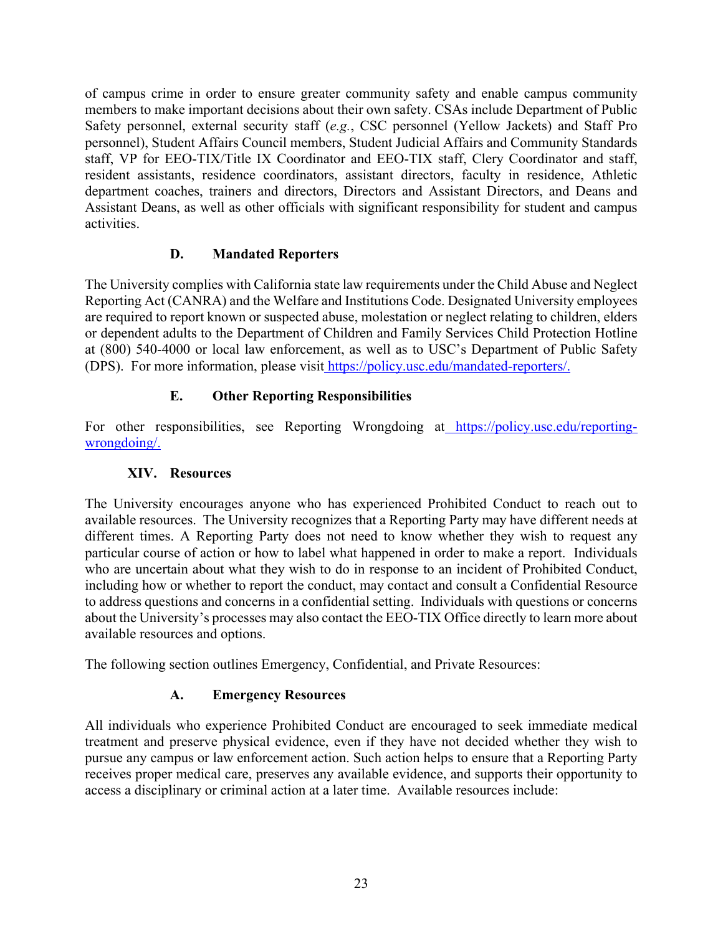of campus crime in order to ensure greater community safety and enable campus community members to make important decisions about their own safety. CSAs include Department of Public Safety personnel, external security staff (*e.g.*, CSC personnel (Yellow Jackets) and Staff Pro personnel), Student Affairs Council members, Student Judicial Affairs and Community Standards staff, VP for EEO-TIX/Title IX Coordinator and EEO-TIX staff, Clery Coordinator and staff, resident assistants, residence coordinators, assistant directors, faculty in residence, Athletic department coaches, trainers and directors, Directors and Assistant Directors, and Deans and Assistant Deans, as well as other officials with significant responsibility for student and campus activities.

#### **D. Mandated Reporters**

The University complies with California state law requirements under the Child Abuse and Neglect Reporting Act (CANRA) and the Welfare and Institutions Code. Designated University employees are required to report known or suspected abuse, molestation or neglect relating to children, elders or dependent adults to the Department of Children and Family Services Child Protection Hotline at (800) 540-4000 or local law enforcement, as well as to USC's Department of Public Safety (DPS). For more information, please visit https://policy.usc.edu/mandated-reporters/.

## **E. Other Reporting Responsibilities**

For other responsibilities, see Reporting Wrongdoing at https://policy.usc.edu/reportingwrongdoing/.

## **XIV. Resources**

The University encourages anyone who has experienced Prohibited Conduct to reach out to available resources. The University recognizes that a Reporting Party may have different needs at different times. A Reporting Party does not need to know whether they wish to request any particular course of action or how to label what happened in order to make a report. Individuals who are uncertain about what they wish to do in response to an incident of Prohibited Conduct, including how or whether to report the conduct, may contact and consult a Confidential Resource to address questions and concerns in a confidential setting. Individuals with questions or concerns about the University's processes may also contact the EEO-TIX Office directly to learn more about available resources and options.

The following section outlines Emergency, Confidential, and Private Resources:

## **A. Emergency Resources**

All individuals who experience Prohibited Conduct are encouraged to seek immediate medical treatment and preserve physical evidence, even if they have not decided whether they wish to pursue any campus or law enforcement action. Such action helps to ensure that a Reporting Party receives proper medical care, preserves any available evidence, and supports their opportunity to access a disciplinary or criminal action at a later time. Available resources include: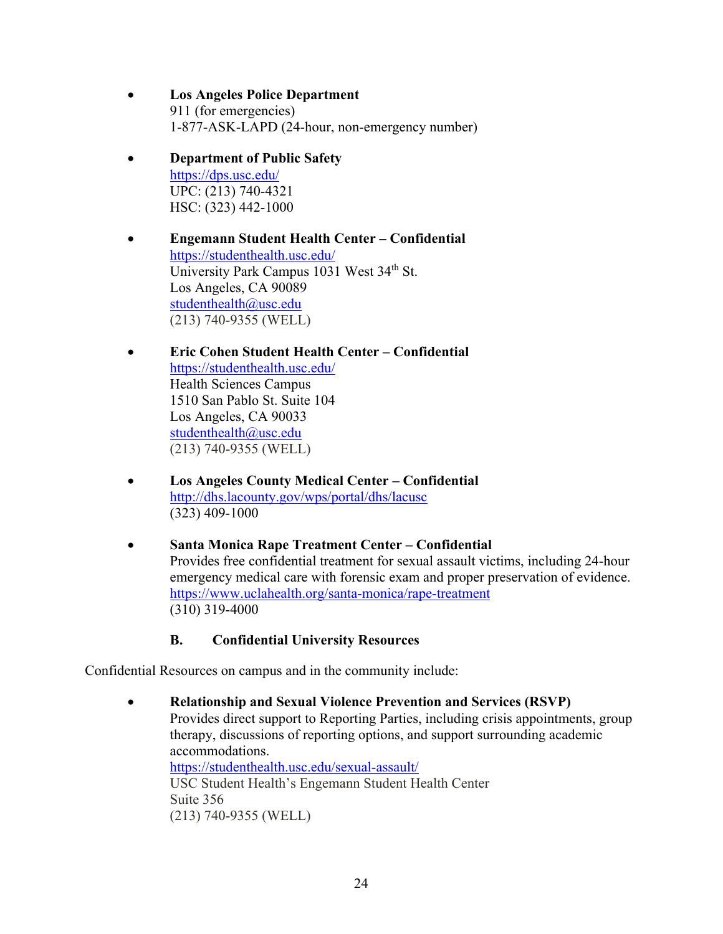- **Los Angeles Police Department** 911 (for emergencies) 1-877-ASK-LAPD (24-hour, non-emergency number)
- **Department of Public Safety**  https://dps.usc.edu/ UPC: (213) 740-4321 HSC: (323) 442-1000

 **Engemann Student Health Center – Confidential** https://studenthealth.usc.edu/ University Park Campus 1031 West 34<sup>th</sup> St. Los Angeles, CA 90089 studenthealth@usc.edu (213) 740-9355 (WELL)

- **Eric Cohen Student Health Center Confidential** https://studenthealth.usc.edu/ Health Sciences Campus 1510 San Pablo St. Suite 104 Los Angeles, CA 90033 studenthealth@usc.edu (213) 740-9355 (WELL)
- **Los Angeles County Medical Center Confidential** http://dhs.lacounty.gov/wps/portal/dhs/lacusc (323) 409-1000
- **Santa Monica Rape Treatment Center Confidential**  Provides free confidential treatment for sexual assault victims, including 24-hour emergency medical care with forensic exam and proper preservation of evidence. https://www.uclahealth.org/santa-monica/rape-treatment (310) 319-4000

## **B. Confidential University Resources**

Confidential Resources on campus and in the community include:

 **Relationship and Sexual Violence Prevention and Services (RSVP)** Provides direct support to Reporting Parties, including crisis appointments, group therapy, discussions of reporting options, and support surrounding academic accommodations. https://studenthealth.usc.edu/sexual-assault/ USC Student Health's Engemann Student Health Center Suite 356 (213) 740-9355 (WELL)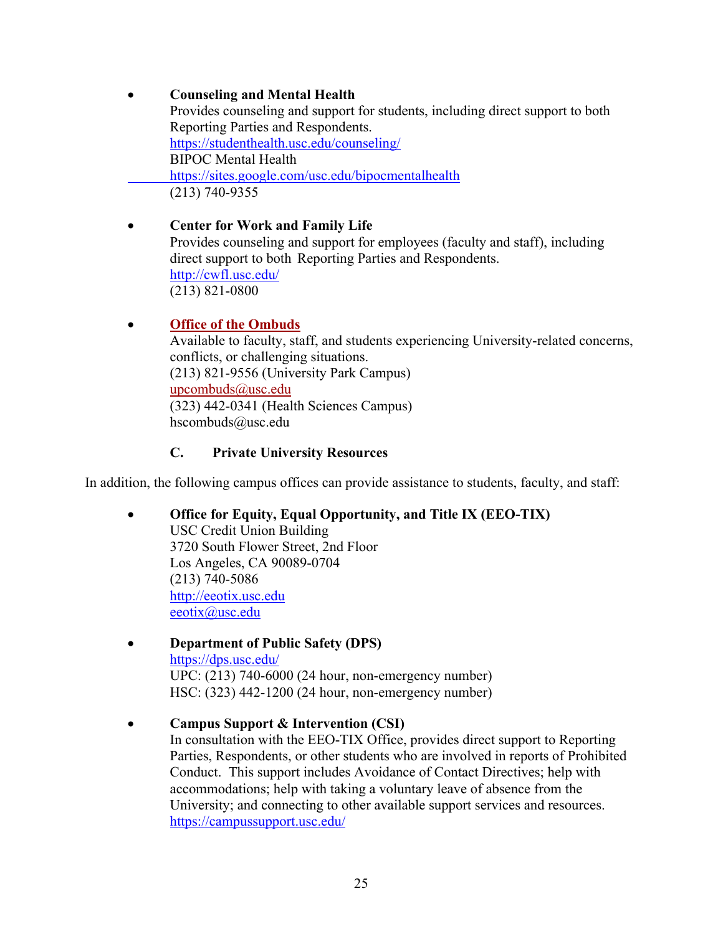## **Counseling and Mental Health**

Provides counseling and support for students, including direct support to both Reporting Parties and Respondents. https://studenthealth.usc.edu/counseling/ BIPOC Mental Health https://sites.google.com/usc.edu/bipocmentalhealth (213) 740-9355

 **Center for Work and Family Life**  Provides counseling and support for employees (faculty and staff), including direct support to both Reporting Parties and Respondents. http://cwfl.usc.edu/ (213) 821-0800

## **Office of the Ombuds**

Available to faculty, staff, and students experiencing University-related concerns, conflicts, or challenging situations. (213) 821-9556 (University Park Campus) upcombuds@usc.edu (323) 442-0341 (Health Sciences Campus) hscombuds@usc.edu

## **C. Private University Resources**

In addition, the following campus offices can provide assistance to students, faculty, and staff:

#### **Office for Equity, Equal Opportunity, and Title IX (EEO-TIX)**

USC Credit Union Building 3720 South Flower Street, 2nd Floor Los Angeles, CA 90089-0704 (213) 740-5086 http://eeotix.usc.edu eeotix@usc.edu

# **Department of Public Safety (DPS)**  https://dps.usc.edu/ UPC: (213) 740-6000 (24 hour, non-emergency number)

HSC: (323) 442-1200 (24 hour, non-emergency number)

**Campus Support & Intervention (CSI)** 

In consultation with the EEO-TIX Office, provides direct support to Reporting Parties, Respondents, or other students who are involved in reports of Prohibited Conduct. This support includes Avoidance of Contact Directives; help with accommodations; help with taking a voluntary leave of absence from the University; and connecting to other available support services and resources. https://campussupport.usc.edu/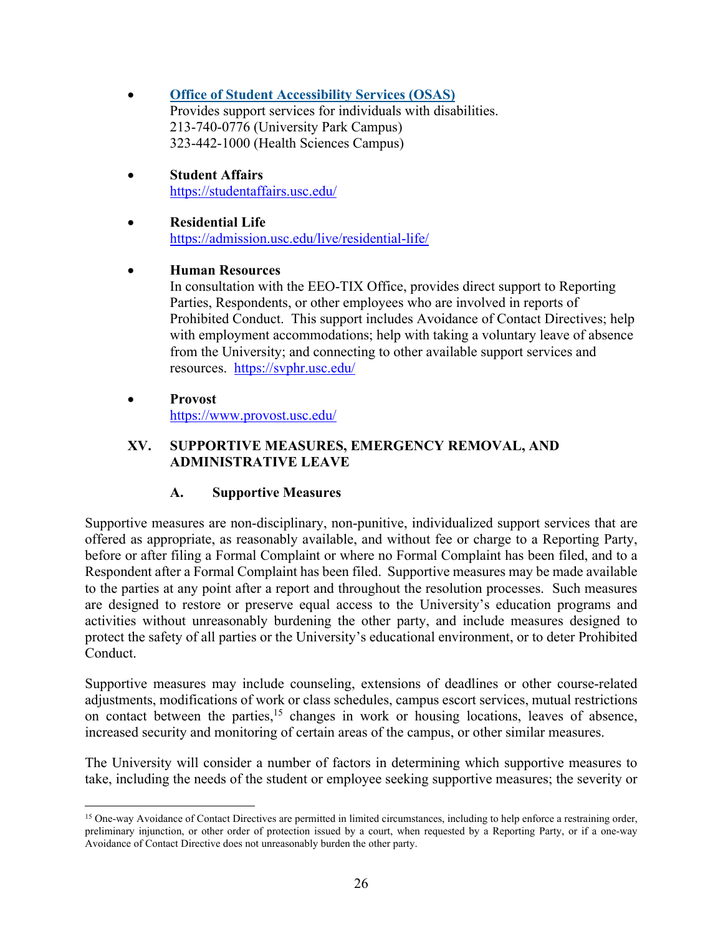- **Office of Student Accessibility Services (OSAS)** Provides support services for individuals with disabilities. 213-740-0776 (University Park Campus) 323-442-1000 (Health Sciences Campus)
- **Student Affairs**  https://studentaffairs.usc.edu/
- **Residential Life**  https://admission.usc.edu/live/residential-life/

#### **Human Resources**

In consultation with the EEO-TIX Office, provides direct support to Reporting Parties, Respondents, or other employees who are involved in reports of Prohibited Conduct. This support includes Avoidance of Contact Directives; help with employment accommodations; help with taking a voluntary leave of absence from the University; and connecting to other available support services and resources. https://svphr.usc.edu/

 **Provost**  https://www.provost.usc.edu/

#### **XV. SUPPORTIVE MEASURES, EMERGENCY REMOVAL, AND ADMINISTRATIVE LEAVE**

## **A. Supportive Measures**

Supportive measures are non-disciplinary, non-punitive, individualized support services that are offered as appropriate, as reasonably available, and without fee or charge to a Reporting Party, before or after filing a Formal Complaint or where no Formal Complaint has been filed, and to a Respondent after a Formal Complaint has been filed. Supportive measures may be made available to the parties at any point after a report and throughout the resolution processes. Such measures are designed to restore or preserve equal access to the University's education programs and activities without unreasonably burdening the other party, and include measures designed to protect the safety of all parties or the University's educational environment, or to deter Prohibited Conduct.

Supportive measures may include counseling, extensions of deadlines or other course-related adjustments, modifications of work or class schedules, campus escort services, mutual restrictions on contact between the parties, $15$  changes in work or housing locations, leaves of absence, increased security and monitoring of certain areas of the campus, or other similar measures.

The University will consider a number of factors in determining which supportive measures to take, including the needs of the student or employee seeking supportive measures; the severity or

<sup>&</sup>lt;sup>15</sup> One-way Avoidance of Contact Directives are permitted in limited circumstances, including to help enforce a restraining order, preliminary injunction, or other order of protection issued by a court, when requested by a Reporting Party, or if a one-way Avoidance of Contact Directive does not unreasonably burden the other party.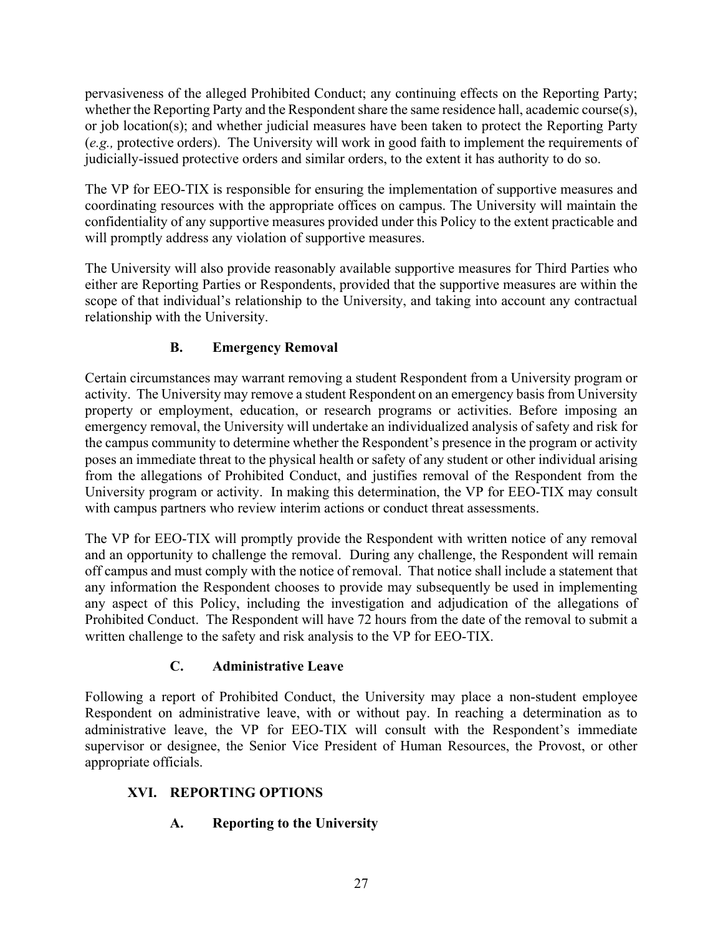pervasiveness of the alleged Prohibited Conduct; any continuing effects on the Reporting Party; whether the Reporting Party and the Respondent share the same residence hall, academic course(s), or job location(s); and whether judicial measures have been taken to protect the Reporting Party (*e.g.,* protective orders). The University will work in good faith to implement the requirements of judicially-issued protective orders and similar orders, to the extent it has authority to do so.

The VP for EEO-TIX is responsible for ensuring the implementation of supportive measures and coordinating resources with the appropriate offices on campus. The University will maintain the confidentiality of any supportive measures provided under this Policy to the extent practicable and will promptly address any violation of supportive measures.

The University will also provide reasonably available supportive measures for Third Parties who either are Reporting Parties or Respondents, provided that the supportive measures are within the scope of that individual's relationship to the University, and taking into account any contractual relationship with the University.

## **B. Emergency Removal**

Certain circumstances may warrant removing a student Respondent from a University program or activity. The University may remove a student Respondent on an emergency basis from University property or employment, education, or research programs or activities. Before imposing an emergency removal, the University will undertake an individualized analysis of safety and risk for the campus community to determine whether the Respondent's presence in the program or activity poses an immediate threat to the physical health or safety of any student or other individual arising from the allegations of Prohibited Conduct, and justifies removal of the Respondent from the University program or activity. In making this determination, the VP for EEO-TIX may consult with campus partners who review interim actions or conduct threat assessments.

The VP for EEO-TIX will promptly provide the Respondent with written notice of any removal and an opportunity to challenge the removal. During any challenge, the Respondent will remain off campus and must comply with the notice of removal. That notice shall include a statement that any information the Respondent chooses to provide may subsequently be used in implementing any aspect of this Policy, including the investigation and adjudication of the allegations of Prohibited Conduct. The Respondent will have 72 hours from the date of the removal to submit a written challenge to the safety and risk analysis to the VP for EEO-TIX.

## **C. Administrative Leave**

Following a report of Prohibited Conduct, the University may place a non-student employee Respondent on administrative leave, with or without pay. In reaching a determination as to administrative leave, the VP for EEO-TIX will consult with the Respondent's immediate supervisor or designee, the Senior Vice President of Human Resources, the Provost, or other appropriate officials.

# **XVI. REPORTING OPTIONS**

## **A. Reporting to the University**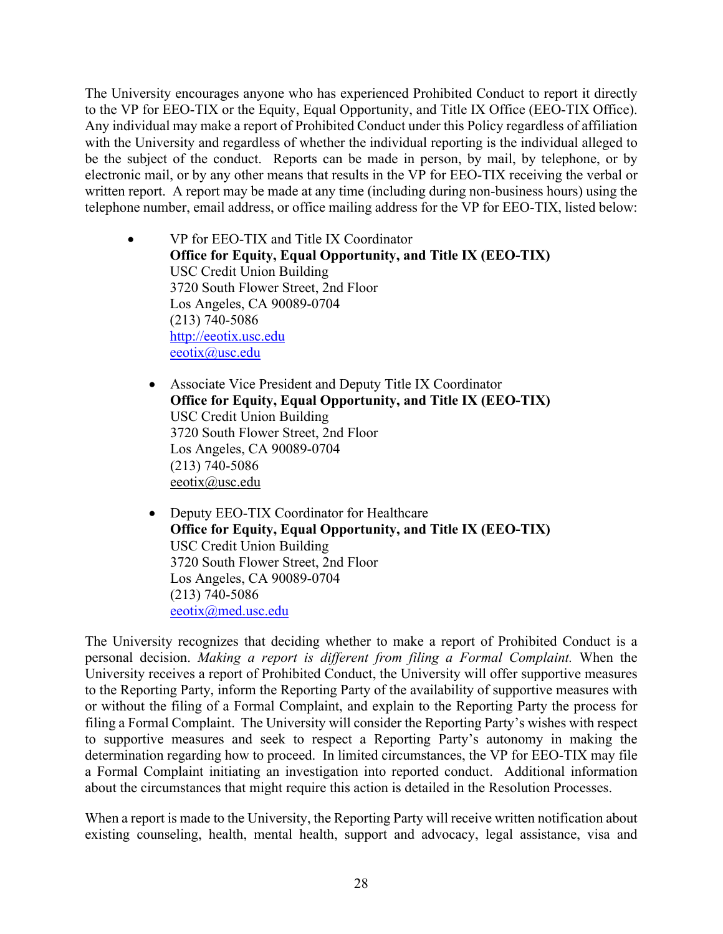The University encourages anyone who has experienced Prohibited Conduct to report it directly to the VP for EEO-TIX or the Equity, Equal Opportunity, and Title IX Office (EEO-TIX Office). Any individual may make a report of Prohibited Conduct under this Policy regardless of affiliation with the University and regardless of whether the individual reporting is the individual alleged to be the subject of the conduct. Reports can be made in person, by mail, by telephone, or by electronic mail, or by any other means that results in the VP for EEO-TIX receiving the verbal or written report. A report may be made at any time (including during non-business hours) using the telephone number, email address, or office mailing address for the VP for EEO-TIX, listed below:

- VP for EEO-TIX and Title IX Coordinator **Office for Equity, Equal Opportunity, and Title IX (EEO-TIX)**  USC Credit Union Building 3720 South Flower Street, 2nd Floor Los Angeles, CA 90089-0704 (213) 740-5086 http://eeotix.usc.edu eeotix@usc.edu
	- Associate Vice President and Deputy Title IX Coordinator **Office for Equity, Equal Opportunity, and Title IX (EEO-TIX)**  USC Credit Union Building 3720 South Flower Street, 2nd Floor Los Angeles, CA 90089-0704 (213) 740-5086 eeotix@usc.edu
	- Deputy EEO-TIX Coordinator for Healthcare **Office for Equity, Equal Opportunity, and Title IX (EEO-TIX)**  USC Credit Union Building 3720 South Flower Street, 2nd Floor Los Angeles, CA 90089-0704 (213) 740-5086 eeotix@med.usc.edu

The University recognizes that deciding whether to make a report of Prohibited Conduct is a personal decision. *Making a report is different from filing a Formal Complaint.* When the University receives a report of Prohibited Conduct, the University will offer supportive measures to the Reporting Party, inform the Reporting Party of the availability of supportive measures with or without the filing of a Formal Complaint, and explain to the Reporting Party the process for filing a Formal Complaint. The University will consider the Reporting Party's wishes with respect to supportive measures and seek to respect a Reporting Party's autonomy in making the determination regarding how to proceed. In limited circumstances, the VP for EEO-TIX may file a Formal Complaint initiating an investigation into reported conduct. Additional information about the circumstances that might require this action is detailed in the Resolution Processes.

When a report is made to the University, the Reporting Party will receive written notification about existing counseling, health, mental health, support and advocacy, legal assistance, visa and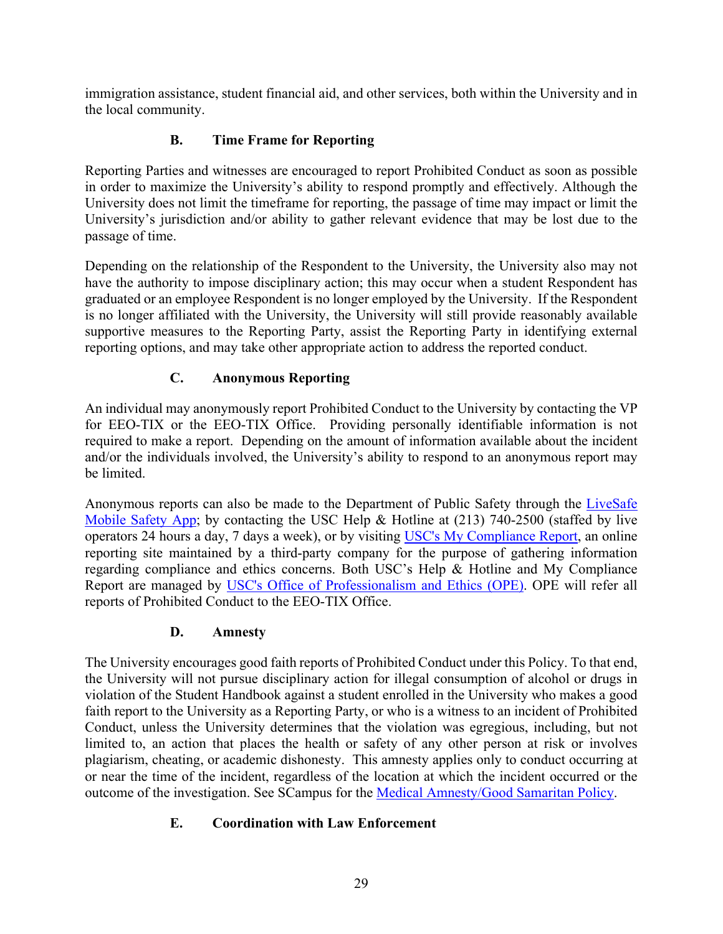immigration assistance, student financial aid, and other services, both within the University and in the local community.

## **B. Time Frame for Reporting**

Reporting Parties and witnesses are encouraged to report Prohibited Conduct as soon as possible in order to maximize the University's ability to respond promptly and effectively. Although the University does not limit the timeframe for reporting, the passage of time may impact or limit the University's jurisdiction and/or ability to gather relevant evidence that may be lost due to the passage of time.

Depending on the relationship of the Respondent to the University, the University also may not have the authority to impose disciplinary action; this may occur when a student Respondent has graduated or an employee Respondent is no longer employed by the University. If the Respondent is no longer affiliated with the University, the University will still provide reasonably available supportive measures to the Reporting Party, assist the Reporting Party in identifying external reporting options, and may take other appropriate action to address the reported conduct.

## **C. Anonymous Reporting**

An individual may anonymously report Prohibited Conduct to the University by contacting the VP for EEO-TIX or the EEO-TIX Office. Providing personally identifiable information is not required to make a report. Depending on the amount of information available about the incident and/or the individuals involved, the University's ability to respond to an anonymous report may be limited.

Anonymous reports can also be made to the Department of Public Safety through the LiveSafe Mobile Safety App; by contacting the USC Help & Hotline at (213) 740-2500 (staffed by live operators 24 hours a day, 7 days a week), or by visiting USC's My Compliance Report, an online reporting site maintained by a third-party company for the purpose of gathering information regarding compliance and ethics concerns. Both USC's Help & Hotline and My Compliance Report are managed by USC's Office of Professionalism and Ethics (OPE). OPE will refer all reports of Prohibited Conduct to the EEO-TIX Office.

## **D. Amnesty**

The University encourages good faith reports of Prohibited Conduct under this Policy. To that end, the University will not pursue disciplinary action for illegal consumption of alcohol or drugs in violation of the Student Handbook against a student enrolled in the University who makes a good faith report to the University as a Reporting Party, or who is a witness to an incident of Prohibited Conduct, unless the University determines that the violation was egregious, including, but not limited to, an action that places the health or safety of any other person at risk or involves plagiarism, cheating, or academic dishonesty. This amnesty applies only to conduct occurring at or near the time of the incident, regardless of the location at which the incident occurred or the outcome of the investigation. See SCampus for the Medical Amnesty/Good Samaritan Policy.

## **E. Coordination with Law Enforcement**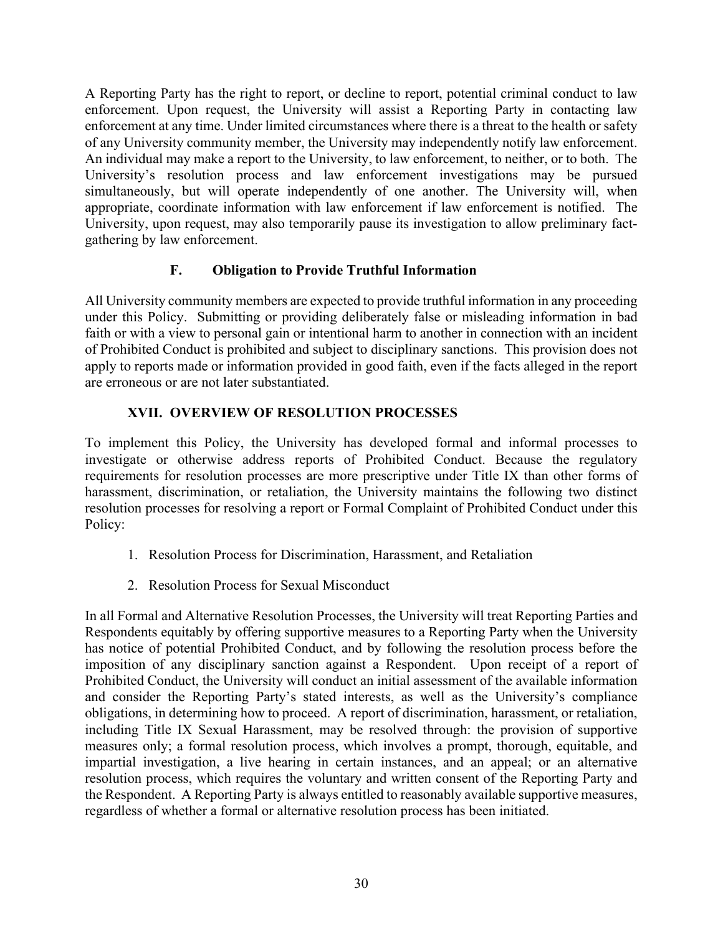A Reporting Party has the right to report, or decline to report, potential criminal conduct to law enforcement. Upon request, the University will assist a Reporting Party in contacting law enforcement at any time. Under limited circumstances where there is a threat to the health or safety of any University community member, the University may independently notify law enforcement. An individual may make a report to the University, to law enforcement, to neither, or to both. The University's resolution process and law enforcement investigations may be pursued simultaneously, but will operate independently of one another. The University will, when appropriate, coordinate information with law enforcement if law enforcement is notified. The University, upon request, may also temporarily pause its investigation to allow preliminary factgathering by law enforcement.

#### **F. Obligation to Provide Truthful Information**

All University community members are expected to provide truthful information in any proceeding under this Policy. Submitting or providing deliberately false or misleading information in bad faith or with a view to personal gain or intentional harm to another in connection with an incident of Prohibited Conduct is prohibited and subject to disciplinary sanctions. This provision does not apply to reports made or information provided in good faith, even if the facts alleged in the report are erroneous or are not later substantiated.

#### **XVII. OVERVIEW OF RESOLUTION PROCESSES**

To implement this Policy, the University has developed formal and informal processes to investigate or otherwise address reports of Prohibited Conduct. Because the regulatory requirements for resolution processes are more prescriptive under Title IX than other forms of harassment, discrimination, or retaliation, the University maintains the following two distinct resolution processes for resolving a report or Formal Complaint of Prohibited Conduct under this Policy:

- 1. Resolution Process for Discrimination, Harassment, and Retaliation
- 2. Resolution Process for Sexual Misconduct

In all Formal and Alternative Resolution Processes, the University will treat Reporting Parties and Respondents equitably by offering supportive measures to a Reporting Party when the University has notice of potential Prohibited Conduct, and by following the resolution process before the imposition of any disciplinary sanction against a Respondent. Upon receipt of a report of Prohibited Conduct, the University will conduct an initial assessment of the available information and consider the Reporting Party's stated interests, as well as the University's compliance obligations, in determining how to proceed. A report of discrimination, harassment, or retaliation, including Title IX Sexual Harassment, may be resolved through: the provision of supportive measures only; a formal resolution process, which involves a prompt, thorough, equitable, and impartial investigation, a live hearing in certain instances, and an appeal; or an alternative resolution process, which requires the voluntary and written consent of the Reporting Party and the Respondent. A Reporting Party is always entitled to reasonably available supportive measures, regardless of whether a formal or alternative resolution process has been initiated.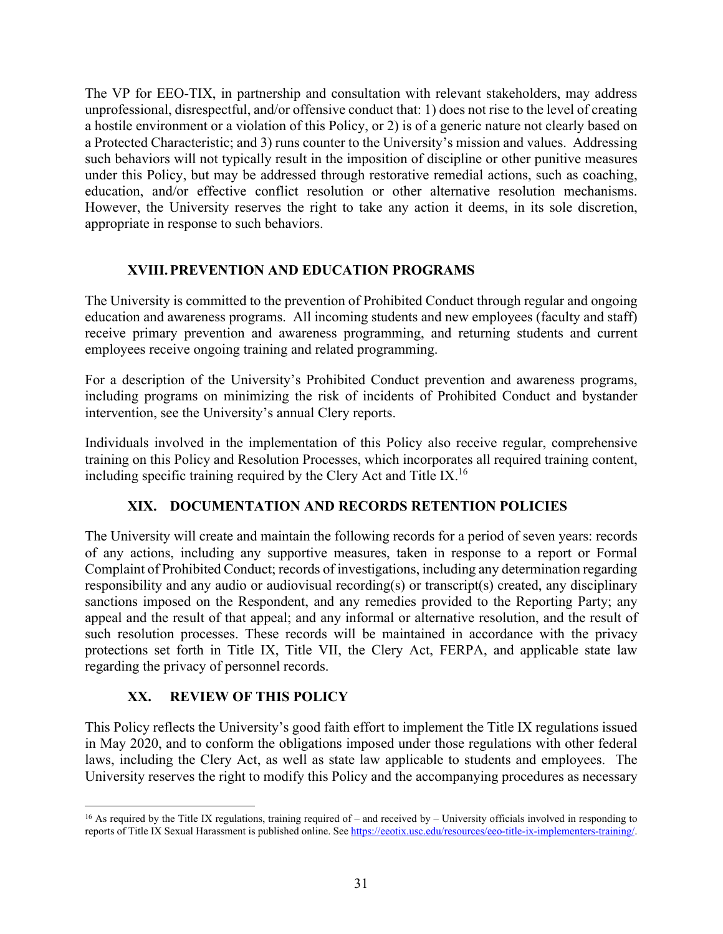The VP for EEO-TIX, in partnership and consultation with relevant stakeholders, may address unprofessional, disrespectful, and/or offensive conduct that: 1) does not rise to the level of creating a hostile environment or a violation of this Policy, or 2) is of a generic nature not clearly based on a Protected Characteristic; and 3) runs counter to the University's mission and values. Addressing such behaviors will not typically result in the imposition of discipline or other punitive measures under this Policy, but may be addressed through restorative remedial actions, such as coaching, education, and/or effective conflict resolution or other alternative resolution mechanisms. However, the University reserves the right to take any action it deems, in its sole discretion, appropriate in response to such behaviors.

#### **XVIII.PREVENTION AND EDUCATION PROGRAMS**

The University is committed to the prevention of Prohibited Conduct through regular and ongoing education and awareness programs. All incoming students and new employees (faculty and staff) receive primary prevention and awareness programming, and returning students and current employees receive ongoing training and related programming.

For a description of the University's Prohibited Conduct prevention and awareness programs, including programs on minimizing the risk of incidents of Prohibited Conduct and bystander intervention, see the University's annual Clery reports.

Individuals involved in the implementation of this Policy also receive regular, comprehensive training on this Policy and Resolution Processes, which incorporates all required training content, including specific training required by the Clery Act and Title IX.<sup>16</sup>

#### **XIX. DOCUMENTATION AND RECORDS RETENTION POLICIES**

The University will create and maintain the following records for a period of seven years: records of any actions, including any supportive measures, taken in response to a report or Formal Complaint of Prohibited Conduct; records of investigations, including any determination regarding responsibility and any audio or audiovisual recording(s) or transcript(s) created, any disciplinary sanctions imposed on the Respondent, and any remedies provided to the Reporting Party; any appeal and the result of that appeal; and any informal or alternative resolution, and the result of such resolution processes. These records will be maintained in accordance with the privacy protections set forth in Title IX, Title VII, the Clery Act, FERPA, and applicable state law regarding the privacy of personnel records.

## **XX. REVIEW OF THIS POLICY**

This Policy reflects the University's good faith effort to implement the Title IX regulations issued in May 2020, and to conform the obligations imposed under those regulations with other federal laws, including the Clery Act, as well as state law applicable to students and employees. The University reserves the right to modify this Policy and the accompanying procedures as necessary

 $16$  As required by the Title IX regulations, training required of – and received by – University officials involved in responding to reports of Title IX Sexual Harassment is published online. See https://eeotix.usc.edu/resources/eeo-title-ix-implementers-training/.